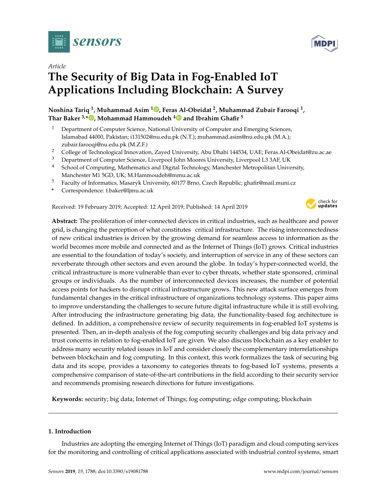

# *Article*

# **The Security of Big Data in Fog-Enabled IoT Applications Including Blockchain: A Survey**

# **Noshina Tariq <sup>1</sup> , Muhammad Asim <sup>1</sup> [,](https://orcid.org/0000-0002-2894-7891) Feras Al-Obeidat <sup>2</sup> , Muhammad Zubair Farooqi <sup>1</sup> , Thar Baker 3,\* [,](https://orcid.org/0000-0002-5166-4873) Mohammad Hammoudeh [4](https://orcid.org/0000-0003-1058-0996) and Ibrahim Ghafir <sup>5</sup>**

- <sup>1</sup> Department of Computer Science, National University of Computer and Emerging Sciences, Islamabad 44000, Pakistan; i131502@nu.edu.pk (N.T.); muhammad.asim@nu.edu.pk (M.A.); zubair.farooqi@nu.edu.pk (M.Z.F.)
- <sup>2</sup> College of Technological Innovation, Zayed University, Abu Dhabi 144534, UAE; Feras.Al-Obeidat@zu.ac.ae
- <sup>3</sup> Department of Computer Science, Liverpool John Moores University, Liverpool L3 3AF, UK
- <sup>4</sup> School of Computing, Mathematics and Digital Technology, Manchester Metropolitan University, Manchester M1 5GD, UK; M.Hammoudeh@mmu.ac.uk
- <sup>5</sup> Faculty of Informatics, Masaryk University, 60177 Brno, Czech Republic; ghafir@mail.muni.cz
- **\*** Correspondence: t.baker@ljmu.ac.uk

Received: 19 February 2019; Accepted: 12 April 2019; Published: 14 April 2019



**Abstract:** The proliferation of inter-connected devices in critical industries, such as healthcare and power grid, is changing the perception of what constitutes critical infrastructure. The rising interconnectedness of new critical industries is driven by the growing demand for seamless access to information as the world becomes more mobile and connected and as the Internet of Things (IoT) grows. Critical industries are essential to the foundation of today's society, and interruption of service in any of these sectors can reverberate through other sectors and even around the globe. In today's hyper-connected world, the critical infrastructure is more vulnerable than ever to cyber threats, whether state sponsored, criminal groups or individuals. As the number of interconnected devices increases, the number of potential access points for hackers to disrupt critical infrastructure grows. This new attack surface emerges from fundamental changes in the critical infrastructure of organizations technology systems. This paper aims to improve understanding the challenges to secure future digital infrastructure while it is still evolving. After introducing the infrastructure generating big data, the functionality-based fog architecture is defined. In addition, a comprehensive review of security requirements in fog-enabled IoT systems is presented. Then, an in-depth analysis of the fog computing security challenges and big data privacy and trust concerns in relation to fog-enabled IoT are given. We also discuss blockchain as a key enabler to address many security related issues in IoT and consider closely the complementary interrelationships between blockchain and fog computing. In this context, this work formalizes the task of securing big data and its scope, provides a taxonomy to categories threats to fog-based IoT systems, presents a comprehensive comparison of state-of-the-art contributions in the field according to their security service and recommends promising research directions for future investigations.

**Keywords:** security; big data; Internet of Things; fog computing; edge computing; blockchain

# **1. Introduction**

Industries are adopting the emerging Internet of Things (IoT) paradigm and cloud computing services for the monitoring and controlling of critical applications associated with industrial control systems, smart

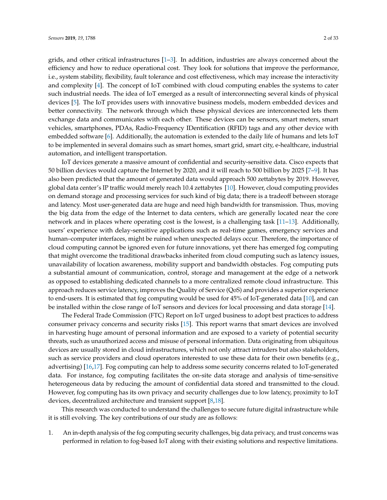grids, and other critical infrastructures  $[1-3]$  $[1-3]$ . In addition, industries are always concerned about the efficiency and how to reduce operational cost. They look for solutions that improve the performance, i.e., system stability, flexibility, fault tolerance and cost effectiveness, which may increase the interactivity and complexity [\[4\]](#page-23-2). The concept of IoT combined with cloud computing enables the systems to cater such industrial needs. The idea of IoT emerged as a result of interconnecting several kinds of physical devices [\[5\]](#page-23-3). The IoT provides users with innovative business models, modern embedded devices and better connectivity. The network through which these physical devices are interconnected lets them exchange data and communicates with each other. These devices can be sensors, smart meters, smart vehicles, smartphones, PDAs, Radio-Frequency IDentification (RFID) tags and any other device with embedded software [\[6\]](#page-24-0). Additionally, the automation is extended to the daily life of humans and lets IoT to be implemented in several domains such as smart homes, smart grid, smart city, e-healthcare, industrial automation, and intelligent transportation.

IoT devices generate a massive amount of confidential and security-sensitive data. Cisco expects that 50 billion devices would capture the Internet by 2020, and it will reach to 500 billion by 2025 [\[7](#page-24-1)[–9\]](#page-24-2). It has also been predicted that the amount of generated data would approach 500 zettabytes by 2019. However, global data center's IP traffic would merely reach 10.4 zettabytes [\[10\]](#page-24-3). However, cloud computing provides on demand storage and processing services for such kind of big data; there is a tradeoff between storage and latency. Most user-generated data are huge and need high bandwidth for transmission. Thus, moving the big data from the edge of the Internet to data centers, which are generally located near the core network and in places where operating cost is the lowest, is a challenging task [\[11–](#page-24-4)[13\]](#page-24-5). Additionally, users' experience with delay-sensitive applications such as real-time games, emergency services and human–computer interfaces, might be ruined when unexpected delays occur. Therefore, the importance of cloud computing cannot be ignored even for future innovations, yet there has emerged fog computing that might overcome the traditional drawbacks inherited from cloud computing such as latency issues, unavailability of location awareness, mobility support and bandwidth obstacles. Fog computing puts a substantial amount of communication, control, storage and management at the edge of a network as opposed to establishing dedicated channels to a more centralized remote cloud infrastructure. This approach reduces service latency, improves the Quality of Service (QoS) and provides a superior experience to end-users. It is estimated that fog computing would be used for 45% of IoT-generated data [\[10\]](#page-24-3), and can be installed within the close range of IoT sensors and devices for local processing and data storage [\[14\]](#page-24-6).

The Federal Trade Commission (FTC) Report on IoT urged business to adopt best practices to address consumer privacy concerns and security risks [\[15\]](#page-24-7). This report warns that smart devices are involved in harvesting huge amount of personal information and are exposed to a variety of potential security threats, such as unauthorized access and misuse of personal information. Data originating from ubiquitous devices are usually stored in cloud infrastructures, which not only attract intruders but also stakeholders, such as service providers and cloud operators interested to use these data for their own benefits (e.g., advertising) [\[16](#page-24-8)[,17\]](#page-24-9). Fog computing can help to address some security concerns related to IoT-generated data. For instance, fog computing facilitates the on-site data storage and analysis of time-sensitive heterogeneous data by reducing the amount of confidential data stored and transmitted to the cloud. However, fog computing has its own privacy and security challenges due to low latency, proximity to IoT devices, decentralized architecture and transient support [\[8](#page-24-10)[,18\]](#page-24-11).

This research was conducted to understand the challenges to secure future digital infrastructure while it is still evolving. The key contributions of our study are as follows:

1. An in-depth analysis of the fog computing security challenges, big data privacy, and trust concerns was performed in relation to fog-based IoT along with their existing solutions and respective limitations.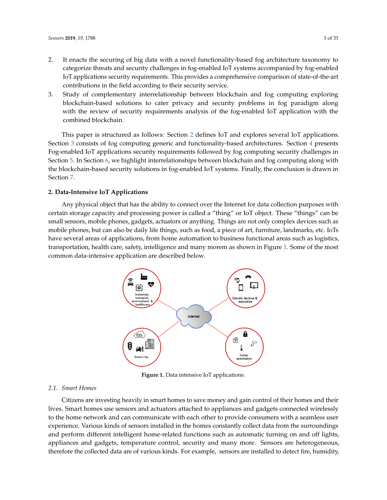- 2. It enacts the securing of big data with a novel functionality-based fog architecture taxonomy to categorize threats and security challenges in fog-enabled IoT systems accompanied by fog-enabled IoT applications security requirements. This provides a comprehensive comparison of state-of-the-art contributions in the field according to their security service.
- 3. Study of complementary interrelationship between blockchain and fog computing exploring blockchain-based solutions to cater privacy and security problems in fog paradigm along with the review of security requirements analysis of the fog-enabled IoT application with the combined blockchain.

This paper is structured as follows: Section [2](#page-2-0) defines IoT and explores several IoT applications. Section [3](#page-4-0) consists of fog computing generic and functionality-based architectures. Section [4](#page-6-0) presents Fog-enabled IoT applications security requirements followed by fog computing security challenges in Section [5.](#page-8-0) In Section [6,](#page-20-0) we highlight interrelationships between blockchain and fog computing along with the blockchain-based security solutions in fog-enabled IoT systems. Finally, the conclusion is drawn in Section [7.](#page-23-4)

# <span id="page-2-0"></span>**2. Data-Intensive IoT Applications**

<span id="page-2-1"></span>Any physical object that has the ability to connect over the Internet for data collection purposes with certain storage capacity and processing power is called a "thing" or IoT object. These "things" can be small sensors, mobile phones, gadgets, actuators or anything. Things are not only complex devices such as mobile phones, but can also be daily life things, such as food, a piece of art, furniture, landmarks, etc. IoTs have several areas of applications, from home automation to business functional areas such as logistics, transportation, health care, safety, intelligence and many morem as shown in Figure [1.](#page-2-1) Some of the most common data-intensive application are described below.



**Figure 1.** Data intensive IoT applications.

#### *2.1. Smart Homes*

Citizens are investing heavily in smart homes to save money and gain control of their homes and their lives. Smart homes use sensors and actuators attached to appliances and gadgets connected wirelessly to the home network and can communicate with each other to provide consumers with a seamless user experience. Various kinds of sensors installed in the homes constantly collect data from the surroundings and perform different intelligent home-related functions such as automatic turning on and off lights, appliances and gadgets, temperature control, security and many more. Sensors are heterogeneous, therefore the collected data are of various kinds. For example, sensors are installed to detect fire, humidity,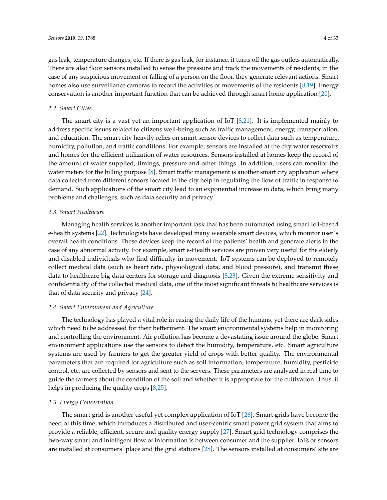gas leak, temperature changes, etc. If there is gas leak, for instance, it turns off the gas outlets automatically. There are also floor sensors installed to sense the pressure and track the movements of residents; in the case of any suspicious movement or falling of a person on the floor, they generate relevant actions. Smart homes also use surveillance cameras to record the activities or movements of the residents [\[8,](#page-24-10)[19\]](#page-24-12). Energy conservation is another important function that can be achieved through smart home application [\[20\]](#page-24-13).

#### *2.2. Smart Cities*

The smart city is a vast yet an important application of IoT  $[8,21]$  $[8,21]$ . It is implemented mainly to address specific issues related to citizens well-being such as traffic management, energy, transportation, and education. The smart city heavily relies on smart sensor devices to collect data such as temperature, humidity, pollution, and traffic conditions. For example, sensors are installed at the city water reservoirs and homes for the efficient utilization of water resources. Sensors installed at homes keep the record of the amount of water supplied, timings, pressure and other things. In addition, users can monitor the water meters for the billing purpose [\[8\]](#page-24-10). Smart traffic management is another smart city application where data collected from different sensors located in the city help in regulating the flow of traffic in response to demand. Such applications of the smart city lead to an exponential increase in data, which bring many problems and challenges, such as data security and privacy.

#### *2.3. Smart Healthcare*

Managing health services is another important task that has been automated using smart IoT-based e-health systems [\[22\]](#page-24-15). Technologists have developed many wearable smart devices, which monitor user's overall health conditions. These devices keep the record of the patients' health and generate alerts in the case of any abnormal activity. For example, smart e-Health services are proven very useful for the elderly and disabled individuals who find difficulty in movement. IoT systems can be deployed to remotely collect medical data (such as heart rate, physiological data, and blood pressure), and transmit these data to healthcare big data centers for storage and diagnosis [\[8](#page-24-10)[,23\]](#page-24-16). Given the extreme sensitivity and confidentiality of the collected medical data, one of the most significant threats to healthcare services is that of data security and privacy [\[24\]](#page-24-17).

#### *2.4. Smart Environment and Agriculture*

The technology has played a vital role in easing the daily life of the humans, yet there are dark sides which need to be addressed for their betterment. The smart environmental systems help in monitoring and controlling the environment. Air pollution has become a devastating issue around the globe. Smart environment applications use the sensors to detect the humidity, temperature, etc. Smart agriculture systems are used by farmers to get the greater yield of crops with better quality. The environmental parameters that are required for agriculture such as soil information, temperature, humidity, pesticide control, etc. are collected by sensors and sent to the servers. These parameters are analyzed in real time to guide the farmers about the condition of the soil and whether it is appropriate for the cultivation. Thus, it helps in producing the quality crops [\[8](#page-24-10)[,25\]](#page-24-18).

#### *2.5. Energy Conservation*

The smart grid is another useful yet complex application of IoT [\[26\]](#page-24-19). Smart grids have become the need of this time, which introduces a distributed and user-centric smart power grid system that aims to provide a reliable, efficient, secure and quality energy supply [\[27\]](#page-25-0). Smart grid technology comprises the two-way smart and intelligent flow of information is between consumer and the supplier. IoTs or sensors are installed at consumers' place and the grid stations [\[28\]](#page-25-1). The sensors installed at consumers' site are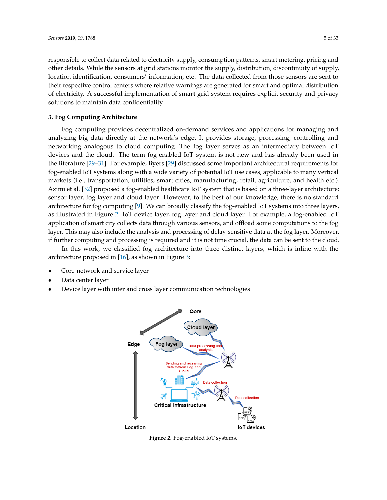responsible to collect data related to electricity supply, consumption patterns, smart metering, pricing and other details. While the sensors at grid stations monitor the supply, distribution, discontinuity of supply, location identification, consumers' information, etc. The data collected from those sensors are sent to their respective control centers where relative warnings are generated for smart and optimal distribution of electricity. A successful implementation of smart grid system requires explicit security and privacy solutions to maintain data confidentiality.

## <span id="page-4-0"></span>**3. Fog Computing Architecture**

Fog computing provides decentralized on-demand services and applications for managing and analyzing big data directly at the network's edge. It provides storage, processing, controlling and networking analogous to cloud computing. The fog layer serves as an intermediary between IoT devices and the cloud. The term fog-enabled IoT system is not new and has already been used in the literature [\[29](#page-25-2)[–31\]](#page-25-3). For example, Byers [\[29\]](#page-25-2) discussed some important architectural requirements for fog-enabled IoT systems along with a wide variety of potential IoT use cases, applicable to many vertical markets (i.e., transportation, utilities, smart cities, manufacturing, retail, agriculture, and health etc.). Azimi et al. [\[32\]](#page-25-4) proposed a fog-enabled healthcare IoT system that is based on a three-layer architecture: sensor layer, fog layer and cloud layer. However, to the best of our knowledge, there is no standard architecture for fog computing [\[9\]](#page-24-2). We can broadly classify the fog-enabled IoT systems into three layers, as illustrated in Figure [2:](#page-4-1) IoT device layer, fog layer and cloud layer. For example, a fog-enabled IoT application of smart city collects data through various sensors, and offload some computations to the fog layer. This may also include the analysis and processing of delay-sensitive data at the fog layer. Moreover, if further computing and processing is required and it is not time crucial, the data can be sent to the cloud.

In this work, we classified fog architecture into three distinct layers, which is inline with the architecture proposed in [\[16\]](#page-24-8), as shown in Figure [3:](#page-5-0)

- Core-network and service layer
- Data center layer
- <span id="page-4-1"></span>• Device layer with inter and cross layer communication technologies



**Figure 2.** Fog-enabled IoT systems.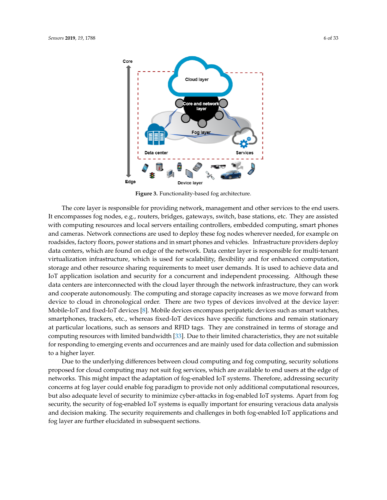<span id="page-5-0"></span>

**Figure 3.** Functionality-based fog architecture.

The core layer is responsible for providing network, management and other services to the end users. It encompasses fog nodes, e.g., routers, bridges, gateways, switch, base stations, etc. They are assisted with computing resources and local servers entailing controllers, embedded computing, smart phones and cameras. Network connections are used to deploy these fog nodes wherever needed, for example on roadsides, factory floors, power stations and in smart phones and vehicles. Infrastructure providers deploy data centers, which are found on edge of the network. Data center layer is responsible for multi-tenant virtualization infrastructure, which is used for scalability, flexibility and for enhanced computation, storage and other resource sharing requirements to meet user demands. It is used to achieve data and IoT application isolation and security for a concurrent and independent processing. Although these data centers are interconnected with the cloud layer through the network infrastructure, they can work and cooperate autonomously. The computing and storage capacity increases as we move forward from device to cloud in chronological order. There are two types of devices involved at the device layer: Mobile-IoT and fixed-IoT devices [\[8\]](#page-24-10). Mobile devices encompass peripatetic devices such as smart watches, smartphones, trackers, etc., whereas fixed-IoT devices have specific functions and remain stationary at particular locations, such as sensors and RFID tags. They are constrained in terms of storage and computing resources with limited bandwidth [\[33\]](#page-25-5). Due to their limited characteristics, they are not suitable for responding to emerging events and occurrences and are mainly used for data collection and submission to a higher layer.

Due to the underlying differences between cloud computing and fog computing, security solutions proposed for cloud computing may not suit fog services, which are available to end users at the edge of networks. This might impact the adaptation of fog-enabled IoT systems. Therefore, addressing security concerns at fog layer could enable fog paradigm to provide not only additional computational resources, but also adequate level of security to minimize cyber-attacks in fog-enabled IoT systems. Apart from fog security, the security of fog-enabled IoT systems is equally important for ensuring veracious data analysis and decision making. The security requirements and challenges in both fog-enabled IoT applications and fog layer are further elucidated in subsequent sections.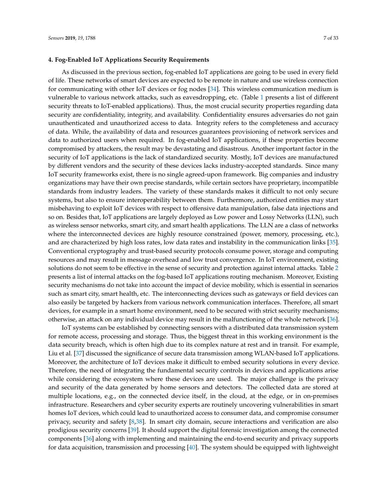#### <span id="page-6-0"></span>**4. Fog-Enabled IoT Applications Security Requirements**

As discussed in the previous section, fog-enabled IoT applications are going to be used in every field of life. These networks of smart devices are expected to be remote in nature and use wireless connection for communicating with other IoT devices or fog nodes [\[34\]](#page-25-6). This wireless communication medium is vulnerable to various network attacks, such as eavesdropping, etc. (Table [1](#page-7-0) presents a list of different security threats to IoT-enabled applications). Thus, the most crucial security properties regarding data security are confidentiality, integrity, and availability. Confidentiality ensures adversaries do not gain unauthenticated and unauthorized access to data. Integrity refers to the completeness and accuracy of data. While, the availability of data and resources guarantees provisioning of network services and data to authorized users when required. In fog-enabled IoT applications, if these properties become compromised by attackers, the result may be devastating and disastrous. Another important factor in the security of IoT applications is the lack of standardized security. Mostly, IoT devices are manufactured by different vendors and the security of these devices lacks industry-accepted standards. Since many IoT security frameworks exist, there is no single agreed-upon framework. Big companies and industry organizations may have their own precise standards, while certain sectors have proprietary, incompatible standards from industry leaders. The variety of these standards makes it difficult to not only secure systems, but also to ensure interoperability between them. Furthermore, authorized entities may start misbehaving to exploit IoT devices with respect to offensive data manipulation, false data injections and so on. Besides that, IoT applications are largely deployed as Low power and Lossy Networks (LLN), such as wireless sensor networks, smart city, and smart health applications. The LLN are a class of networks where the interconnected devices are highly resource constrained (power, memory, processing, etc.), and are characterized by high loss rates, low data rates and instability in the communication links [\[35\]](#page-25-7). Conventional cryptography and trust-based security protocols consume power, storage and computing resources and may result in message overhead and low trust convergence. In IoT environment, existing solutions do not seem to be effective in the sense of security and protection against internal attacks. Table [2](#page-8-1) presents a list of internal attacks on the fog-based IoT applications routing mechanism. Moreover, Existing security mechanisms do not take into account the impact of device mobility, which is essential in scenarios such as smart city, smart health, etc. The interconnecting devices such as gateways or field devices can also easily be targeted by hackers from various network communication interfaces. Therefore, all smart devices, for example in a smart home environment, need to be secured with strict security mechanisms; otherwise, an attack on any individual device may result in the malfunctioning of the whole network [\[36\]](#page-25-8).

IoT systems can be established by connecting sensors with a distributed data transmission system for remote access, processing and storage. Thus, the biggest threat in this working environment is the data security breach, which is often high due to its complex nature at rest and in transit. For example, Liu et al. [\[37\]](#page-25-9) discussed the significance of secure data transmission among WLAN-based IoT applications. Moreover, the architecture of IoT devices make it difficult to embed security solutions in every device. Therefore, the need of integrating the fundamental security controls in devices and applications arise while considering the ecosystem where these devices are used. The major challenge is the privacy and security of the data generated by home sensors and detectors. The collected data are stored at multiple locations, e.g., on the connected device itself, in the cloud, at the edge, or in on-premises infrastructure. Researchers and cyber security experts are routinely uncovering vulnerabilities in smart homes IoT devices, which could lead to unauthorized access to consumer data, and compromise consumer privacy, security and safety [\[8](#page-24-10)[,38\]](#page-25-10). In smart city domain, secure interactions and verification are also prodigious security concerns [\[39\]](#page-25-11). It should support the digital forensic investigation among the connected components [\[36\]](#page-25-8) along with implementing and maintaining the end-to-end security and privacy supports for data acquisition, transmission and processing [\[40\]](#page-25-12). The system should be equipped with lightweight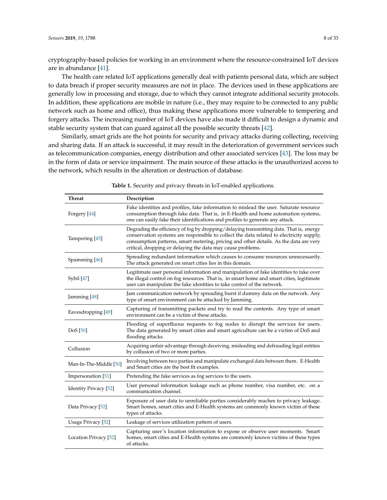cryptography-based policies for working in an environment where the resource-constrained IoT devices are in abundance [\[41\]](#page-25-13).

The health care related IoT applications generally deal with patients personal data, which are subject to data breach if proper security measures are not in place. The devices used in these applications are generally low in processing and storage, due to which they cannot integrate additional security protocols. In addition, these applications are mobile in nature (i.e., they may require to be connected to any public network such as home and office), thus making these applications more vulnerable to tempering and forgery attacks. The increasing number of IoT devices have also made it difficult to design a dynamic and stable security system that can guard against all the possible security threats [\[42\]](#page-25-14).

Similarly, smart grids are the hot points for security and privacy attacks during collecting, receiving and sharing data. If an attack is successful, it may result in the deterioration of government services such as telecommunication companies, energy distribution and other associated services [\[43\]](#page-25-15). The loss may be in the form of data or service impairment. The main source of these attacks is the unauthorized access to the network, which results in the alteration or destruction of database.

<span id="page-7-0"></span>**Threat Description** Forgery [\[44\]](#page-25-16) Fake identities and profiles, fake information to mislead the user. Saturate resource consumption through fake data. That is, in E-Health and home automation systems, one can easily fake their identifications and profiles to generate any attack. Tampering [\[45\]](#page-25-17) Degrading the efficiency of fog by dropping/delaying transmitting data. That is, energy conservation systems are responsible to collect the data related to electricity supply, consumption patterns, smart metering, pricing and other details. As the data are very critical, dropping or delaying the data may cause problems. Spamming [\[46\]](#page-26-0) Spreading redundant information which causes to consume resources unnecessarily. The attack generated on smart cities lies in this domain. Sybil [\[47\]](#page-26-1) Legitimate user personal information and manipulation of fake identities to take over the illegal control on fog resources. That is, in smart home and smart cities, legitimate user can manipulate the fake identities to take control of the network. Jamming [\[48\]](#page-26-2) Jam communication network by spreading burst if dummy data on the network. Any type of smart environment can be attacked by Jamming. Eavesdropping [\[49\]](#page-26-3) Capturing of transmitting packets and try to read the contents. Any type of smart environment can be a victim of these attacks. DoS [\[50\]](#page-26-4) Flooding of superfluous requests to fog nodes to disrupt the services for users. The data generated by smart cities and smart agriculture can be a victim of DoS and flooding attacks. Collusion Acquiring unfair advantage through deceiving, misleading and defrauding legal entities by collusion of two or more parties. Man-In-The-Middle [\[50\]](#page-26-4) Involving between two parties and manipulate exchanged data between them. E-Health and Smart cities are the best fit examples. Impersonation [\[51\]](#page-26-5) Pretending the fake services as fog services to the users. Identity Privacy [\[52\]](#page-26-6) User personal information leakage such as phone number, visa number, etc. on a communication channel. Data Privacy [\[52\]](#page-26-6) Exposure of user data to unreliable parties considerably reaches to privacy leakage. Smart homes, smart cities and E-Health systems are commonly known victim of these types of attacks. Usage Privacy [\[52\]](#page-26-6) Leakage of services utilization pattern of users. Location Privacy [\[52\]](#page-26-6) Capturing user's location information to expose or observe user moments. Smart homes, smart cities and E-Health systems are commonly known victims of these types of attacks.

**Table 1.** Security and privacy threats in IoT-enabled applications.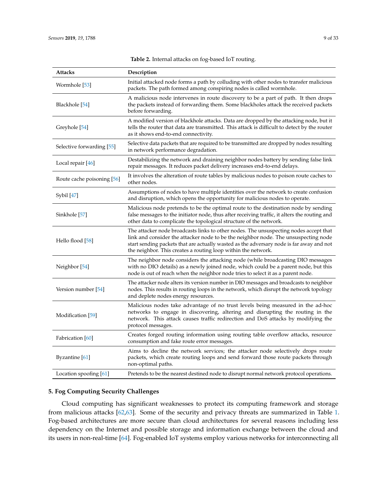<span id="page-8-1"></span>

| Attacks                    | Description                                                                                                                                                                                                                                                                                                                              |
|----------------------------|------------------------------------------------------------------------------------------------------------------------------------------------------------------------------------------------------------------------------------------------------------------------------------------------------------------------------------------|
| Wormhole [53]              | Initial attacked node forms a path by colluding with other nodes to transfer malicious<br>packets. The path formed among conspiring nodes is called wormhole.                                                                                                                                                                            |
| Blackhole [54]             | A malicious node intervenes in route discovery to be a part of path. It then drops<br>the packets instead of forwarding them. Some blackholes attack the received packets<br>before forwarding.                                                                                                                                          |
| Greyhole <sup>[54]</sup>   | A modified version of blackhole attacks. Data are dropped by the attacking node, but it<br>tells the router that data are transmitted. This attack is difficult to detect by the router<br>as it shows end-to-end connectivity.                                                                                                          |
| Selective forwarding [55]  | Selective data packets that are required to be transmitted are dropped by nodes resulting<br>in network performance degradation.                                                                                                                                                                                                         |
| Local repair [46]          | Destabilizing the network and draining neighbor nodes battery by sending false link<br>repair messages. It reduces packet delivery increases end-to-end delays.                                                                                                                                                                          |
| Route cache poisoning [56] | It involves the alteration of route tables by malicious nodes to poison route caches to<br>other nodes.                                                                                                                                                                                                                                  |
| Sybil [47]                 | Assumptions of nodes to have multiple identities over the network to create confusion<br>and disruption, which opens the opportunity for malicious nodes to operate.                                                                                                                                                                     |
| Sinkhole [57]              | Malicious node pretends to be the optimal route to the destination node by sending<br>false messages to the initiator node, thus after receiving traffic, it alters the routing and<br>other data to complicate the topological structure of the network.                                                                                |
| Hello flood [58]           | The attacker node broadcasts links to other nodes. The unsuspecting nodes accept that<br>link and consider the attacker node to be the neighbor node. The unsuspecting node<br>start sending packets that are actually wasted as the adversary node is far away and not<br>the neighbor. This creates a routing loop within the network. |
| Neighbor <sup>[54]</sup>   | The neighbor node considers the attacking node (while broadcasting DIO messages<br>with no DIO details) as a newly joined node, which could be a parent node, but this<br>node is out of reach when the neighbor node tries to select it as a parent node.                                                                               |
| Version number [54]        | The attacker node alters its version number in DIO messages and broadcasts to neighbor<br>nodes. This results in routing loops in the network, which disrupt the network topology<br>and deplete nodes energy resources.                                                                                                                 |
| Modification [59]          | Malicious nodes take advantage of no trust levels being measured in the ad-hoc<br>networks to engage in discovering, altering and disrupting the routing in the<br>network. This attack causes traffic redirection and DoS attacks by modifying the<br>protocol messages.                                                                |
| Fabrication [60]           | Creates forged routing information using routing table overflow attacks, resource<br>consumption and fake route error messages.                                                                                                                                                                                                          |
| Byzantine [61]             | Aims to decline the network services; the attacker node selectively drops route<br>packets, which create routing loops and send forward those route packets through<br>non-optimal paths.                                                                                                                                                |
| Location spoofing [61]     | Pretends to be the nearest destined node to disrupt normal network protocol operations.                                                                                                                                                                                                                                                  |

**Table 2.** Internal attacks on fog-based IoT routing.

# <span id="page-8-0"></span>**5. Fog Computing Security Challenges**

Cloud computing has significant weaknesses to protect its computing framework and storage from malicious attacks [\[62,](#page-26-16)[63\]](#page-26-17). Some of the security and privacy threats are summarized in Table [1.](#page-7-0) Fog-based architectures are more secure than cloud architectures for several reasons including less dependency on the Internet and possible storage and information exchange between the cloud and its users in non-real-time [\[64\]](#page-26-18). Fog-enabled IoT systems employ various networks for interconnecting all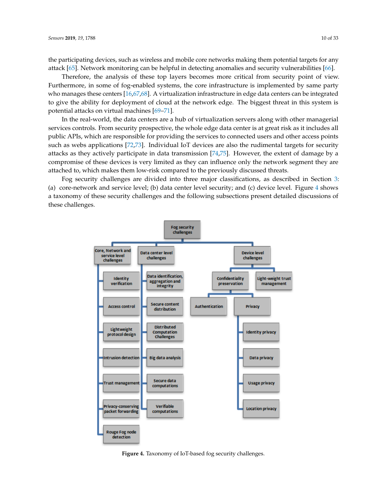the participating devices, such as wireless and mobile core networks making them potential targets for any attack [\[65\]](#page-26-19). Network monitoring can be helpful in detecting anomalies and security vulnerabilities [\[66\]](#page-26-20).

Therefore, the analysis of these top layers becomes more critical from security point of view. Furthermore, in some of fog-enabled systems, the core infrastructure is implemented by same party who manages these centers [\[16,](#page-24-8)[67](#page-26-21)[,68\]](#page-26-22). A virtualization infrastructure in edge data centers can be integrated to give the ability for deployment of cloud at the network edge. The biggest threat in this system is potential attacks on virtual machines [\[69](#page-27-0)[–71\]](#page-27-1).

In the real-world, the data centers are a hub of virtualization servers along with other managerial services controls. From security prospective, the whole edge data center is at great risk as it includes all public APIs, which are responsible for providing the services to connected users and other access points such as webs applications [\[72](#page-27-2)[,73\]](#page-27-3). Individual IoT devices are also the rudimental targets for security attacks as they actively participate in data transmission [\[74,](#page-27-4)[75\]](#page-27-5). However, the extent of damage by a compromise of these devices is very limited as they can influence only the network segment they are attached to, which makes them low-risk compared to the previously discussed threats.

<span id="page-9-0"></span>Fog security challenges are divided into three major classifications, as described in Section [3:](#page-4-0) (a) core-network and service level; (b) data center level security; and (c) device level. Figure [4](#page-9-0) shows a taxonomy of these security challenges and the following subsections present detailed discussions of these challenges.



**Figure 4.** Taxonomy of IoT-based fog security challenges.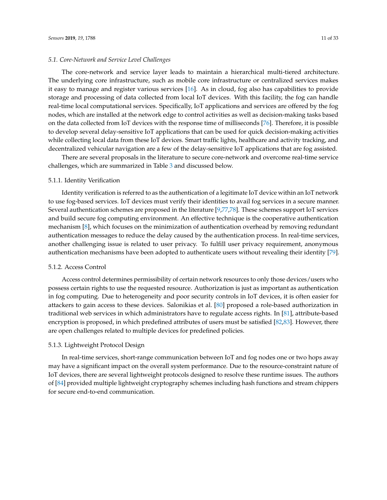#### *5.1. Core-Network and Service Level Challenges*

The core-network and service layer leads to maintain a hierarchical multi-tiered architecture. The underlying core infrastructure, such as mobile core infrastructure or centralized services makes it easy to manage and register various services [\[16\]](#page-24-8). As in cloud, fog also has capabilities to provide storage and processing of data collected from local IoT devices. With this facility, the fog can handle real-time local computational services. Specifically, IoT applications and services are offered by the fog nodes, which are installed at the network edge to control activities as well as decision-making tasks based on the data collected from IoT devices with the response time of milliseconds [\[76\]](#page-27-6). Therefore, it is possible to develop several delay-sensitive IoT applications that can be used for quick decision-making activities while collecting local data from these IoT devices. Smart traffic lights, healthcare and activity tracking, and decentralized vehicular navigation are a few of the delay-sensitive IoT applications that are fog assisted.

There are several proposals in the literature to secure core-network and overcome real-time service challenges, which are summarized in Table [3](#page-12-0) and discussed below.

# 5.1.1. Identity Verification

Identity verification is referred to as the authentication of a legitimate IoT device within an IoT network to use fog-based services. IoT devices must verify their identities to avail fog services in a secure manner. Several authentication schemes are proposed in the literature [\[9,](#page-24-2)[77,](#page-27-7)[78\]](#page-27-8). These schemes support IoT services and build secure fog computing environment. An effective technique is the cooperative authentication mechanism [\[8\]](#page-24-10), which focuses on the minimization of authentication overhead by removing redundant authentication messages to reduce the delay caused by the authentication process. In real-time services, another challenging issue is related to user privacy. To fulfill user privacy requirement, anonymous authentication mechanisms have been adopted to authenticate users without revealing their identity [\[79\]](#page-27-9).

#### 5.1.2. Access Control

Access control determines permissibility of certain network resources to only those devices/users who possess certain rights to use the requested resource. Authorization is just as important as authentication in fog computing. Due to heterogeneity and poor security controls in IoT devices, it is often easier for attackers to gain access to these devices. Salonikias et al. [\[80\]](#page-27-10) proposed a role-based authorization in traditional web services in which administrators have to regulate access rights. In [\[81\]](#page-27-11), attribute-based encryption is proposed, in which predefined attributes of users must be satisfied [\[82](#page-27-12)[,83\]](#page-27-13). However, there are open challenges related to multiple devices for predefined policies.

#### 5.1.3. Lightweight Protocol Design

In real-time services, short-range communication between IoT and fog nodes one or two hops away may have a significant impact on the overall system performance. Due to the resource-constraint nature of IoT devices, there are several lightweight protocols designed to resolve these runtime issues. The authors of [\[84\]](#page-27-14) provided multiple lightweight cryptography schemes including hash functions and stream chippers for secure end-to-end communication.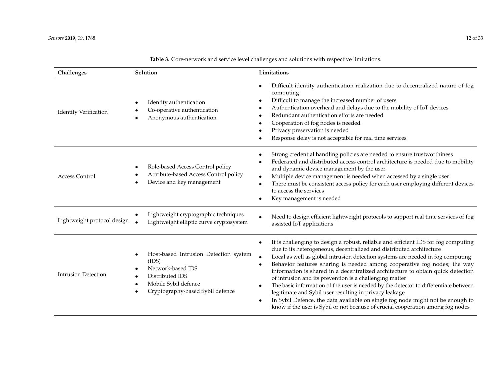| Challenges                   | Solution                                                                                                                                                                          | Limitations                                                                                                                                                                                                                                                                                                                                                                                                                                                                                                                                                                                                                                                                                                                                                                                                                                     |
|------------------------------|-----------------------------------------------------------------------------------------------------------------------------------------------------------------------------------|-------------------------------------------------------------------------------------------------------------------------------------------------------------------------------------------------------------------------------------------------------------------------------------------------------------------------------------------------------------------------------------------------------------------------------------------------------------------------------------------------------------------------------------------------------------------------------------------------------------------------------------------------------------------------------------------------------------------------------------------------------------------------------------------------------------------------------------------------|
| <b>Identity Verification</b> | Identity authentication<br>٠<br>Co-operative authentication<br>Anonymous authentication                                                                                           | Difficult identity authentication realization due to decentralized nature of fog<br>٠<br>computing<br>Difficult to manage the increased number of users<br>Authentication overhead and delays due to the mobility of IoT devices<br>Redundant authentication efforts are needed<br>Cooperation of fog nodes is needed<br>Privacy preservation is needed<br>Response delay is not acceptable for real time services                                                                                                                                                                                                                                                                                                                                                                                                                              |
| <b>Access Control</b>        | Role-based Access Control policy<br>Attribute-based Access Control policy<br>Device and key management                                                                            | Strong credential handling policies are needed to ensure trustworthiness<br>Federated and distributed access control architecture is needed due to mobility<br>and dynamic device management by the user<br>Multiple device management is needed when accessed by a single user<br>$\bullet$<br>There must be consistent access policy for each user employing different devices<br>$\bullet$<br>to access the services<br>Key management is needed                                                                                                                                                                                                                                                                                                                                                                                             |
| Lightweight protocol design  | Lightweight cryptographic techniques<br>$\bullet$<br>Lightweight elliptic curve cryptosystem                                                                                      | Need to design efficient lightweight protocols to support real time services of fog<br>assisted IoT applications                                                                                                                                                                                                                                                                                                                                                                                                                                                                                                                                                                                                                                                                                                                                |
| <b>Intrusion Detection</b>   | Host-based Intrusion Detection system<br>$\bullet$<br>(IDS)<br>Network-based IDS<br>Distributed IDS<br>Mobile Sybil defence<br>$\bullet$<br>Cryptography-based Sybil defence<br>٠ | It is challenging to design a robust, reliable and efficient IDS for fog computing<br>٠<br>due to its heterogeneous, decentralized and distributed architecture<br>Local as well as global intrusion detection systems are needed in fog computing<br>$\bullet$<br>Behavior features sharing is needed among cooperative fog nodes; the way<br>٠<br>information is shared in a decentralized architecture to obtain quick detection<br>of intrusion and its prevention is a challenging matter<br>The basic information of the user is needed by the detector to differentiate between<br>$\bullet$<br>legitimate and Sybil user resulting in privacy leakage<br>In Sybil Defence, the data available on single fog node might not be enough to<br>$\bullet$<br>know if the user is Sybil or not because of crucial cooperation among fog nodes |

**Table 3.** Core-network and service level challenges and solutions with respective limitations.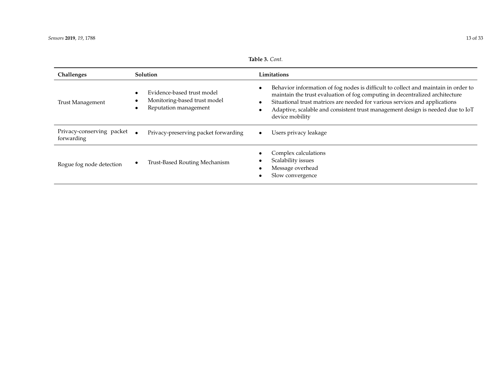Challenges Solution

| Table 3. Cont.   |                                                                                                                                                                                                                                                                    |
|------------------|--------------------------------------------------------------------------------------------------------------------------------------------------------------------------------------------------------------------------------------------------------------------|
|                  | Limitations                                                                                                                                                                                                                                                        |
| nodel<br>t model | Behavior information of fog nodes is difficult to collect and maintain in order to<br>$\bullet$<br>maintain the trust evaluation of fog computing in decentralized architecture<br>City of one I fund no turns are needed for warious souriess and annualizations. |

<span id="page-12-0"></span>

| Rogue fog node detection                | Trust-Based Routing Mechanism                                                       | Complex calculations<br>$\bullet$<br>Scalability issues<br>٠<br>Message overhead<br>٠<br>Slow convergence<br>٠                                                                                                                                                                                                                                                                  |
|-----------------------------------------|-------------------------------------------------------------------------------------|---------------------------------------------------------------------------------------------------------------------------------------------------------------------------------------------------------------------------------------------------------------------------------------------------------------------------------------------------------------------------------|
| Privacy-conserving packet<br>forwarding | Privacy-preserving packet forwarding                                                | Users privacy leakage<br>$\bullet$                                                                                                                                                                                                                                                                                                                                              |
| <b>Trust Management</b>                 | Evidence-based trust model<br>Monitoring-based trust model<br>Reputation management | behavior information of log hours to unificate to concer and maintain in order to<br>maintain the trust evaluation of fog computing in decentralized architecture<br>Situational trust matrices are needed for various services and applications<br>$\bullet$<br>Adaptive, scalable and consistent trust management design is needed due to IoT<br>$\bullet$<br>device mobility |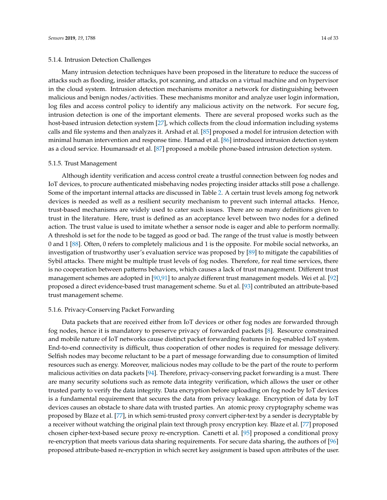#### 5.1.4. Intrusion Detection Challenges

Many intrusion detection techniques have been proposed in the literature to reduce the success of attacks such as flooding, insider attacks, pot scanning, and attacks on a virtual machine and on hypervisor in the cloud system. Intrusion detection mechanisms monitor a network for distinguishing between malicious and benign nodes/activities. These mechanisms monitor and analyze user login information, log files and access control policy to identify any malicious activity on the network. For secure fog, intrusion detection is one of the important elements. There are several proposed works such as the host-based intrusion detection system [\[27\]](#page-25-0), which collects from the cloud information including systems calls and file systems and then analyzes it. Arshad et al. [\[85\]](#page-27-15) proposed a model for intrusion detection with minimal human intervention and response time. Hamad et al. [\[86\]](#page-27-16) introduced intrusion detection system as a cloud service. Houmansadr et al. [\[87\]](#page-27-17) proposed a mobile phone-based intrusion detection system.

#### 5.1.5. Trust Management

Although identity verification and access control create a trustful connection between fog nodes and IoT devices, to procure authenticated misbehaving nodes projecting insider attacks still pose a challenge. Some of the important internal attacks are discussed in Table [2.](#page-8-1) A certain trust levels among fog network devices is needed as well as a resilient security mechanism to prevent such internal attacks. Hence, trust-based mechanisms are widely used to cater such issues. There are so many definitions given to trust in the literature. Here, trust is defined as an acceptance level between two nodes for a defined action. The trust value is used to imitate whether a sensor node is eager and able to perform normally. A threshold is set for the node to be tagged as good or bad. The range of the trust value is mostly between 0 and 1 [\[88\]](#page-27-18). Often, 0 refers to completely malicious and 1 is the opposite. For mobile social networks, an investigation of trustworthy user's evaluation service was proposed by [\[89\]](#page-28-0) to mitigate the capabilities of Sybil attacks. There might be multiple trust levels of fog nodes. Therefore, for real time services, there is no cooperation between patterns behaviors, which causes a lack of trust management. Different trust management schemes are adopted in [\[90,](#page-28-1)[91\]](#page-28-2) to analyze different trust management models. Wei et al. [\[92\]](#page-28-3) proposed a direct evidence-based trust management scheme. Su et al. [\[93\]](#page-28-4) contributed an attribute-based trust management scheme.

#### 5.1.6. Privacy-Conserving Packet Forwarding

Data packets that are received either from IoT devices or other fog nodes are forwarded through fog nodes, hence it is mandatory to preserve privacy of forwarded packets [\[8\]](#page-24-10). Resource constrained and mobile nature of IoT networks cause distinct packet forwarding features in fog-enabled IoT system. End-to-end connectivity is difficult, thus cooperation of other nodes is required for message delivery. Selfish nodes may become reluctant to be a part of message forwarding due to consumption of limited resources such as energy. Moreover, malicious nodes may collude to be the part of the route to perform malicious activities on data packets [\[94\]](#page-28-5). Therefore, privacy-conserving packet forwarding is a must. There are many security solutions such as remote data integrity verification, which allows the user or other trusted party to verify the data integrity. Data encryption before uploading on fog node by IoT devices is a fundamental requirement that secures the data from privacy leakage. Encryption of data by IoT devices causes an obstacle to share data with trusted parties. An atomic proxy cryptography scheme was proposed by Blaze et al. [\[77\]](#page-27-7), in which semi-trusted proxy convert cipher-text by a sender is decryptable by a receiver without watching the original plain text through proxy encryption key. Blaze et al. [\[77\]](#page-27-7) proposed chosen cipher-text-based secure proxy re-encryption. Canetti et al. [\[95\]](#page-28-6) proposed a conditional proxy re-encryption that meets various data sharing requirements. For secure data sharing, the authors of [\[96\]](#page-28-7) proposed attribute-based re-encryption in which secret key assignment is based upon attributes of the user.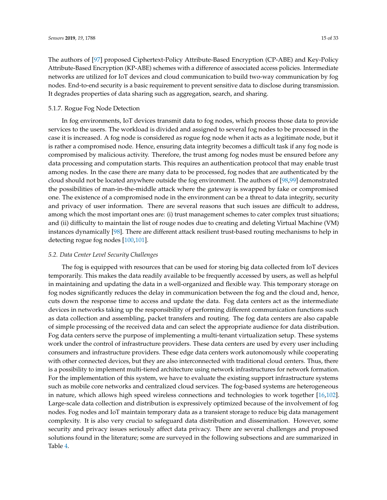The authors of [\[97\]](#page-28-8) proposed Ciphertext-Policy Attribute-Based Encryption (CP-ABE) and Key-Policy Attribute-Based Encryption (KP-ABE) schemes with a difference of associated access policies. Intermediate networks are utilized for IoT devices and cloud communication to build two-way communication by fog nodes. End-to-end security is a basic requirement to prevent sensitive data to disclose during transmission. It degrades properties of data sharing such as aggregation, search, and sharing.

#### 5.1.7. Rogue Fog Node Detection

In fog environments, IoT devices transmit data to fog nodes, which process those data to provide services to the users. The workload is divided and assigned to several fog nodes to be processed in the case it is increased. A fog node is considered as rogue fog node when it acts as a legitimate node, but it is rather a compromised node. Hence, ensuring data integrity becomes a difficult task if any fog node is compromised by malicious activity. Therefore, the trust among fog nodes must be ensured before any data processing and computation starts. This requires an authentication protocol that may enable trust among nodes. In the case there are many data to be processed, fog nodes that are authenticated by the cloud should not be located anywhere outside the fog environment. The authors of [\[98](#page-28-9)[,99\]](#page-28-10) demonstrated the possibilities of man-in-the-middle attack where the gateway is swapped by fake or compromised one. The existence of a compromised node in the environment can be a threat to data integrity, security and privacy of user information. There are several reasons that such issues are difficult to address, among which the most important ones are: (i) trust management schemes to cater complex trust situations; and (ii) difficulty to maintain the list of rouge nodes due to creating and deleting Virtual Machine (VM) instances dynamically [\[98\]](#page-28-9). There are different attack resilient trust-based routing mechanisms to help in detecting rogue fog nodes [\[100,](#page-28-11)[101\]](#page-28-12).

#### *5.2. Data Center Level Security Challenges*

The fog is equipped with resources that can be used for storing big data collected from IoT devices temporarily. This makes the data readily available to be frequently accessed by users, as well as helpful in maintaining and updating the data in a well-organized and flexible way. This temporary storage on fog nodes significantly reduces the delay in communication between the fog and the cloud and, hence, cuts down the response time to access and update the data. Fog data centers act as the intermediate devices in networks taking up the responsibility of performing different communication functions such as data collection and assembling, packet transfers and routing. The fog data centers are also capable of simple processing of the received data and can select the appropriate audience for data distribution. Fog data centers serve the purpose of implementing a multi-tenant virtualization setup. These systems work under the control of infrastructure providers. These data centers are used by every user including consumers and infrastructure providers. These edge data centers work autonomously while cooperating with other connected devices, but they are also interconnected with traditional cloud centers. Thus, there is a possibility to implement multi-tiered architecture using network infrastructures for network formation. For the implementation of this system, we have to evaluate the existing support infrastructure systems such as mobile core networks and centralized cloud services. The fog-based systems are heterogeneous in nature, which allows high speed wireless connections and technologies to work together [\[16](#page-24-8)[,102\]](#page-28-13). Large-scale data collection and distribution is expressively optimized because of the involvement of fog nodes. Fog nodes and IoT maintain temporary data as a transient storage to reduce big data management complexity. It is also very crucial to safeguard data distribution and dissemination. However, some security and privacy issues seriously affect data privacy. There are several challenges and proposed solutions found in the literature; some are surveyed in the following subsections and are summarized in Table [4.](#page-15-0)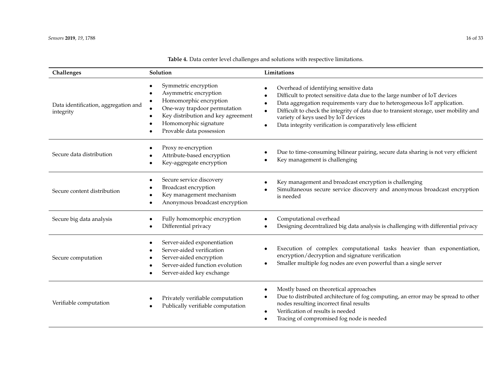<span id="page-15-0"></span>

| Challenges                                        | Solution                                                                                                                                                                                                                     | Limitations                                                                                                                                                                                                                                                                                                                                                                                    |
|---------------------------------------------------|------------------------------------------------------------------------------------------------------------------------------------------------------------------------------------------------------------------------------|------------------------------------------------------------------------------------------------------------------------------------------------------------------------------------------------------------------------------------------------------------------------------------------------------------------------------------------------------------------------------------------------|
| Data identification, aggregation and<br>integrity | Symmetric encryption<br>$\bullet$<br>Asymmetric encryption<br>Homomorphic encryption<br>One-way trapdoor permutation<br>Key distribution and key agreement<br>$\bullet$<br>Homomorphic signature<br>Provable data possession | Overhead of identifying sensitive data<br>Difficult to protect sensitive data due to the large number of IoT devices<br>Data aggregation requirements vary due to heterogeneous IoT application.<br>Difficult to check the integrity of data due to transient storage, user mobility and<br>variety of keys used by IoT devices<br>Data integrity verification is comparatively less efficient |
| Secure data distribution                          | Proxy re-encryption<br>Attribute-based encryption<br>Key-aggregate encryption                                                                                                                                                | Due to time-consuming bilinear pairing, secure data sharing is not very efficient<br>Key management is challenging                                                                                                                                                                                                                                                                             |
| Secure content distribution                       | Secure service discovery<br>$\bullet$<br>Broadcast encryption<br>Key management mechanism<br>Anonymous broadcast encryption                                                                                                  | Key management and broadcast encryption is challenging<br>Simultaneous secure service discovery and anonymous broadcast encryption<br>is needed                                                                                                                                                                                                                                                |
| Secure big data analysis                          | Fully homomorphic encryption<br>Differential privacy<br>$\bullet$                                                                                                                                                            | Computational overhead<br>Designing decentralized big data analysis is challenging with differential privacy                                                                                                                                                                                                                                                                                   |
| Secure computation                                | Server-aided exponentiation<br>$\bullet$<br>Server-aided verification<br>Server-aided encryption<br>Server-aided function evolution<br>Server-aided key exchange                                                             | Execution of complex computational tasks heavier than exponentiation,<br>encryption/decryption and signature verification<br>Smaller multiple fog nodes are even powerful than a single server                                                                                                                                                                                                 |
| Verifiable computation                            | Privately verifiable computation<br>Publically verifiable computation<br>$\bullet$                                                                                                                                           | Mostly based on theoretical approaches<br>Due to distributed architecture of fog computing, an error may be spread to other<br>nodes resulting incorrect final results<br>Verification of results is needed<br>Tracing of compromised fog node is needed                                                                                                                                       |

# **Table 4.** Data center level challenges and solutions with respective limitations.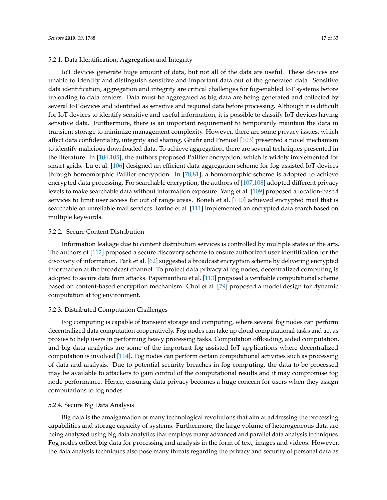#### 5.2.1. Data Identification, Aggregation and Integrity

IoT devices generate huge amount of data, but not all of the data are useful. These devices are unable to identify and distinguish sensitive and important data out of the generated data. Sensitive data identification, aggregation and integrity are critical challenges for fog-enabled IoT systems before uploading to data centers. Data must be aggregated as big data are being generated and collected by several IoT devices and identified as sensitive and required data before processing. Although it is difficult for IoT devices to identify sensitive and useful information, it is possible to classify IoT devices having sensitive data. Furthermore, there is an important requirement to temporarily maintain the data in transient storage to minimize management complexity. However, there are some privacy issues, which affect data confidentiality, integrity and sharing. Ghafir and Prenosil [\[103\]](#page-28-14) presented a novel mechanism to identify malicious downloaded data. To achieve aggregation, there are several techniques presented in the literature. In [\[104](#page-28-15)[,105\]](#page-28-16), the authors proposed Paillier encryption, which is widely implemented for smart grids. Lu et al. [\[106\]](#page-28-17) designed an efficient data aggregation scheme for fog-assisted IoT devices through homomorphic Paillier encryption. In [\[78,](#page-27-8)[81\]](#page-27-11), a homomorphic scheme is adopted to achieve encrypted data processing. For searchable encryption, the authors of [\[107,](#page-28-18)[108\]](#page-28-19) adopted different privacy levels to make searchable data without information exposure. Yang et al. [\[109\]](#page-28-20) proposed a location-based services to limit user access for out of range areas. Boneh et al. [\[110\]](#page-29-0) achieved encrypted mail that is searchable on unreliable mail services. Iovino et al. [\[111\]](#page-29-1) implemented an encrypted data search based on multiple keywords.

### 5.2.2. Secure Content Distribution

Information leakage due to content distribution services is controlled by multiple states of the arts. The authors of [\[112\]](#page-29-2) proposed a secure discovery scheme to ensure authorized user identification for the discovery of information. Park et al. [\[62\]](#page-26-16) suggested a broadcast encryption scheme by delivering encrypted information at the broadcast channel. To protect data privacy at fog nodes, decentralized computing is adopted to secure data from attacks. Papamanthou et al. [\[113\]](#page-29-3) proposed a verifiable computational scheme based on content-based encryption mechanism. Choi et al. [\[79\]](#page-27-9) proposed a model design for dynamic computation at fog environment.

#### 5.2.3. Distributed Computation Challenges

Fog computing is capable of transient storage and computing, where several fog nodes can perform decentralized data computation cooperatively. Fog nodes can take up cloud computational tasks and act as proxies to help users in performing heavy processing tasks. Computation offloading, aided computation, and big data analytics are some of the important fog assisted IoT applications where decentralized computation is involved [\[114\]](#page-29-4). Fog nodes can perform certain computational activities such as processing of data and analysis. Due to potential security breaches in fog computing, the data to be processed may be available to attackers to gain control of the computational results and it may compromise fog node performance. Hence, ensuring data privacy becomes a huge concern for users when they assign computations to fog nodes.

# 5.2.4. Secure Big Data Analysis

Big data is the amalgamation of many technological revolutions that aim at addressing the processing capabilities and storage capacity of systems. Furthermore, the large volume of heterogeneous data are being analyzed using big data analytics that employs many advanced and parallel data analysis techniques. Fog nodes collect big data for processing and analysis in the form of text, images and videos. However, the data analysis techniques also pose many threats regarding the privacy and security of personal data as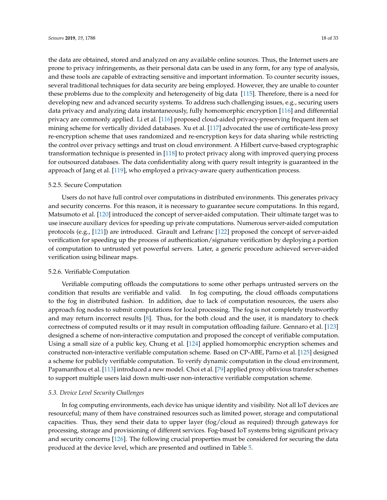the data are obtained, stored and analyzed on any available online sources. Thus, the Internet users are prone to privacy infringements, as their personal data can be used in any form, for any type of analysis, and these tools are capable of extracting sensitive and important information. To counter security issues, several traditional techniques for data security are being employed. However, they are unable to counter these problems due to the complexity and heterogeneity of big data [\[115\]](#page-29-5). Therefore, there is a need for developing new and advanced security systems. To address such challenging issues, e.g., securing users data privacy and analyzing data instantaneously, fully homomorphic encryption [\[116\]](#page-29-6) and differential privacy are commonly applied. Li et al. [\[116\]](#page-29-6) proposed cloud-aided privacy-preserving frequent item set mining scheme for vertically divided databases. Xu et al. [\[117\]](#page-29-7) advocated the use of certificate-less proxy re-encryption scheme that uses randomized and re-encryption keys for data sharing while restricting the control over privacy settings and trust on cloud environment. A Hilbert curve-based cryptographic transformation technique is presented in [\[118\]](#page-29-8) to protect privacy along with improved querying process for outsourced databases. The data confidentiality along with query result integrity is guaranteed in the approach of Jang et al. [\[119\]](#page-29-9), who employed a privacy-aware query authentication process.

#### 5.2.5. Secure Computation

Users do not have full control over computations in distributed environments. This generates privacy and security concerns. For this reason, it is necessary to guarantee secure computations. In this regard, Matsumoto et al. [\[120\]](#page-29-10) introduced the concept of server-aided computation. Their ultimate target was to use insecure auxiliary devices for speeding up private computations. Numerous server-aided computation protocols (e.g., [\[121\]](#page-29-11)) are introduced. Girault and Lefranc [\[122\]](#page-29-12) proposed the concept of server-aided verification for speeding up the process of authentication/signature verification by deploying a portion of computation to untrusted yet powerful servers. Later, a generic procedure achieved server-aided verification using bilinear maps.

# 5.2.6. Verifiable Computation

Verifiable computing offloads the computations to some other perhaps untrusted servers on the condition that results are verifiable and valid. In fog computing, the cloud offloads computations to the fog in distributed fashion. In addition, due to lack of computation resources, the users also approach fog nodes to submit computations for local processing. The fog is not completely trustworthy and may return incorrect results [\[8\]](#page-24-10). Thus, for the both cloud and the user, it is mandatory to check correctness of computed results or it may result in computation offloading failure. Gennaro et al. [\[123\]](#page-29-13) designed a scheme of non-interactive computation and proposed the concept of verifiable computation. Using a small size of a public key, Chung et al. [\[124\]](#page-29-14) applied homomorphic encryption schemes and constructed non-interactive verifiable computation scheme. Based on CP-ABE, Parno et al. [\[125\]](#page-29-15) designed a scheme for publicly verifiable computation. To verify dynamic computation in the cloud environment, Papamanthou et al. [\[113\]](#page-29-3) introduced a new model. Choi et al. [\[79\]](#page-27-9) applied proxy oblivious transfer schemes to support multiple users laid down multi-user non-interactive verifiable computation scheme.

#### *5.3. Device Level Security Challenges*

In fog computing environments, each device has unique identity and visibility. Not all IoT devices are resourceful; many of them have constrained resources such as limited power, storage and computational capacities. Thus, they send their data to upper layer (fog/cloud as required) through gateways for processing, storage and provisioning of different services. Fog-based IoT systems bring significant privacy and security concerns [\[126\]](#page-29-16). The following crucial properties must be considered for securing the data produced at the device level, which are presented and outlined in Table [5.](#page-19-0)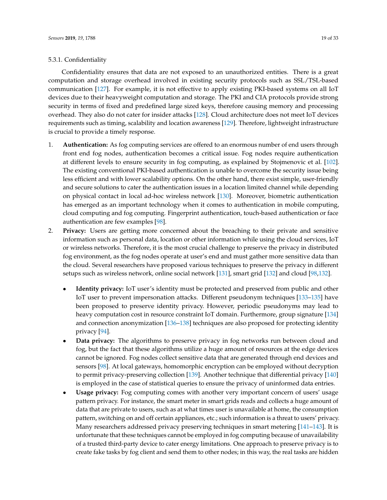#### 5.3.1. Confidentiality

Confidentiality ensures that data are not exposed to an unauthorized entities. There is a great computation and storage overhead involved in existing security protocols such as SSL/TSL-based communication [\[127\]](#page-29-17). For example, it is not effective to apply existing PKI-based systems on all IoT devices due to their heavyweight computation and storage. The PKI and CIA protocols provide strong security in terms of fixed and predefined large sized keys, therefore causing memory and processing overhead. They also do not cater for insider attacks [\[128\]](#page-29-18). Cloud architecture does not meet IoT devices requirements such as timing, scalability and location awareness [\[129\]](#page-30-0). Therefore, lightweight infrastructure is crucial to provide a timely response.

- 1. **Authentication:** As fog computing services are offered to an enormous number of end users through front end fog nodes, authentication becomes a critical issue. Fog nodes require authentication at different levels to ensure security in fog computing, as explained by Stojmenovic et al. [\[102\]](#page-28-13). The existing conventional PKI-based authentication is unable to overcome the security issue being less efficient and with lower scalability options. On the other hand, there exist simple, user-friendly and secure solutions to cater the authentication issues in a location limited channel while depending on physical contact in local ad-hoc wireless network [\[130\]](#page-30-1). Moreover, biometric authentication has emerged as an important technology when it comes to authentication in mobile computing, cloud computing and fog computing. Fingerprint authentication, touch-based authentication or face authentication are few examples [\[98\]](#page-28-9).
- 2. **Privacy:** Users are getting more concerned about the breaching to their private and sensitive information such as personal data, location or other information while using the cloud services, IoT or wireless networks. Therefore, it is the most crucial challenge to preserve the privacy in distributed fog environment, as the fog nodes operate at user's end and must gather more sensitive data than the cloud. Several researchers have proposed various techniques to preserve the privacy in different setups such as wireless network, online social network [\[131\]](#page-30-2), smart grid [\[132\]](#page-30-3) and cloud [\[98](#page-28-9)[,132\]](#page-30-3).
	- **Identity privacy:** IoT user's identity must be protected and preserved from public and other IoT user to prevent impersonation attacks. Different pseudonym techniques [\[133](#page-30-4)[–135\]](#page-30-5) have been proposed to preserve identity privacy. However, periodic pseudonyms may lead to heavy computation cost in resource constraint IoT domain. Furthermore, group signature [\[134\]](#page-30-6) and connection anonymization [\[136](#page-30-7)[–138\]](#page-30-8) techniques are also proposed for protecting identity privacy [\[94\]](#page-28-5).
	- **Data privacy:** The algorithms to preserve privacy in fog networks run between cloud and fog, but the fact that these algorithms utilize a huge amount of resources at the edge devices cannot be ignored. Fog nodes collect sensitive data that are generated through end devices and sensors [\[98\]](#page-28-9). At local gateways, homomorphic encryption can be employed without decryption to permit privacy-preserving collection [\[139\]](#page-30-9). Another technique that differential privacy [\[140\]](#page-30-10) is employed in the case of statistical queries to ensure the privacy of uninformed data entries.
	- **Usage privacy:** Fog computing comes with another very important concern of users' usage pattern privacy. For instance, the smart meter in smart grids reads and collects a huge amount of data that are private to users, such as at what times user is unavailable at home, the consumption pattern, switching on and off certain appliances, etc.; such information is a threat to users' privacy. Many researchers addressed privacy preserving techniques in smart metering [\[141–](#page-30-11)[143\]](#page-30-12). It is unfortunate that these techniques cannot be employed in fog computing because of unavailability of a trusted third-party device to cater energy limitations. One approach to preserve privacy is to create fake tasks by fog client and send them to other nodes; in this way, the real tasks are hidden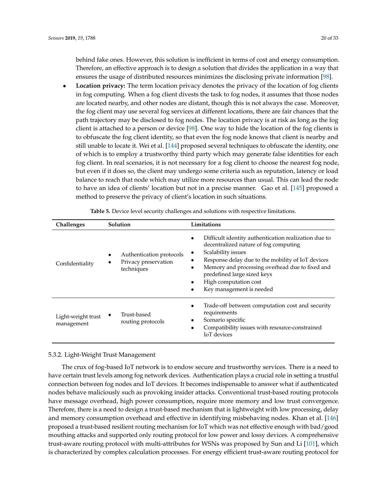behind fake ones. However, this solution is inefficient in terms of cost and energy consumption. Therefore, an effective approach is to design a solution that divides the application in a way that ensures the usage of distributed resources minimizes the disclosing private information [\[98\]](#page-28-9).

• **Location privacy:** The term location privacy denotes the privacy of the location of fog clients in fog computing. When a fog client divests the task to fog nodes, it assumes that those nodes are located nearby, and other nodes are distant, though this is not always the case. Moreover, the fog client may use several fog services at different locations, there are fair chances that the path trajectory may be disclosed to fog nodes. The location privacy is at risk as long as the fog client is attached to a person or device [\[98\]](#page-28-9). One way to hide the location of the fog clients is to obfuscate the fog client identity, so that even the fog node knows that client is nearby and still unable to locate it. Wei et al. [\[144\]](#page-30-13) proposed several techniques to obfuscate the identity, one of which is to employ a trustworthy third party which may generate false identities for each fog client. In real scenarios, it is not necessary for a fog client to choose the nearest fog node, but even if it does so, the client may undergo some criteria such as reputation, latency or load balance to reach that node which may utilize more resources than usual. This can lead the node to have an idea of clients' location but not in a precise manner. Gao et al. [\[145\]](#page-30-14) proposed a method to preserve the privacy of client's location in such situations.

<span id="page-19-0"></span>

| Challenges                       | Solution                                                       | Limitations                                                                                                                                                                                                                                                                                                     |
|----------------------------------|----------------------------------------------------------------|-----------------------------------------------------------------------------------------------------------------------------------------------------------------------------------------------------------------------------------------------------------------------------------------------------------------|
| Confidentiality                  | Authentication protocols<br>Privacy preservation<br>techniques | Difficult identity authentication realization due to<br>decentralized nature of fog computing<br>Scalability issues<br>Response delay due to the mobility of IoT devices<br>Memory and processing overhead due to fixed and<br>predefined large sized keys<br>High computation cost<br>Key management is needed |
| Light-weight trust<br>management | Trust-based<br>routing protocols                               | Trade-off between computation cost and security<br>requirements<br>Scenario specific<br>Compatibility issues with resource-constrained<br><b>IoT</b> devices                                                                                                                                                    |

**Table 5.** Device level security challenges and solutions with respective limitations.

#### 5.3.2. Light-Weight Trust Management

The crux of fog-based IoT network is to endow secure and trustworthy services. There is a need to have certain trust levels among fog network devices. Authentication plays a crucial role in setting a trustful connection between fog nodes and IoT devices. It becomes indispensable to answer what if authenticated nodes behave maliciously such as provoking insider attacks. Conventional trust-based routing protocols have message overhead, high power consumption, require more memory and low trust convergence. Therefore, there is a need to design a trust-based mechanism that is lightweight with low processing, delay and memory consumption overhead and effective in identifying misbehaving nodes. Khan et al. [\[146\]](#page-30-15) proposed a trust-based resilient routing mechanism for IoT which was not effective enough with bad/good mouthing attacks and supported only routing protocol for low power and lossy devices. A comprehensive trust-aware routing protocol with multi-attributes for WSNs was proposed by Sun and Li [\[101\]](#page-28-12), which is characterized by complex calculation processes. For energy efficient trust-aware routing protocol for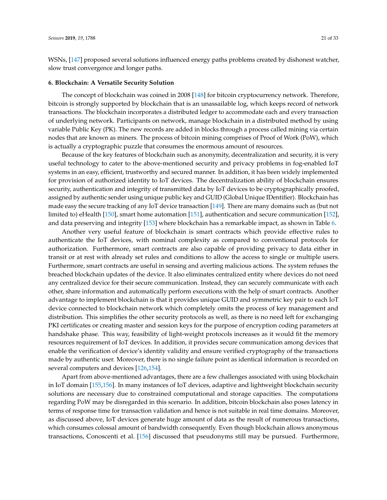WSNs, [\[147\]](#page-30-16) proposed several solutions influenced energy paths problems created by dishonest watcher, slow trust convergence and longer paths.

#### <span id="page-20-0"></span>**6. Blockchain: A Versatile Security Solution**

The concept of blockchain was coined in 2008 [\[148\]](#page-30-17) for bitcoin cryptocurrency network. Therefore, bitcoin is strongly supported by blockchain that is an unassailable log, which keeps record of network transactions. The blockchain incorporates a distributed ledger to accommodate each and every transaction of underlying network. Participants on network, manage blockchain in a distributed method by using variable Public Key (PK). The new records are added in blocks through a process called mining via certain nodes that are known as miners. The process of bitcoin mining comprises of Proof of Work (PoW), which is actually a cryptographic puzzle that consumes the enormous amount of resources.

Because of the key features of blockchain such as anonymity, decentralization and security, it is very useful technology to cater to the above-mentioned security and privacy problems in fog-enabled IoT systems in an easy, efficient, trustworthy and secured manner. In addition, it has been widely implemented for provision of authorized identity to IoT devices. The decentralization ability of blockchain ensures security, authentication and integrity of transmitted data by IoT devices to be cryptographically proofed, assigned by authentic sender using unique public key and GUID (Global Unique IDentifier). Blockchain has made easy the secure tracking of any IoT device transaction [\[149\]](#page-30-18). There are many domains such as (but not limited to) eHealth [\[150\]](#page-30-19), smart home automation [\[151\]](#page-31-0), authentication and secure communication [\[152\]](#page-31-1), and data preserving and integrity [\[153\]](#page-31-2) where blockchain has a remarkable impact, as shown in Table [6.](#page-22-0)

Another very useful feature of blockchain is smart contracts which provide effective rules to authenticate the IoT devices, with nominal complexity as compared to conventional protocols for authorization. Furthermore, smart contracts are also capable of providing privacy to data either in transit or at rest with already set rules and conditions to allow the access to single or multiple users. Furthermore, smart contracts are useful in sensing and averting malicious actions. The system refuses the breached blockchain updates of the device. It also eliminates centralized entity where devices do not need any centralized device for their secure communication. Instead, they can securely communicate with each other, share information and automatically perform executions with the help of smart contracts. Another advantage to implement blockchain is that it provides unique GUID and symmetric key pair to each IoT device connected to blockchain network which completely omits the process of key management and distribution. This simplifies the other security protocols as well, as there is no need left for exchanging PKI certificates or creating master and session keys for the purpose of encryption coding parameters at handshake phase. This way, feasibility of light-weight protocols increases as it would fit the memory resources requirement of IoT devices. In addition, it provides secure communication among devices that enable the verification of device's identity validity and ensure verified cryptography of the transactions made by authentic user. Moreover, there is no single failure point as identical information is recorded on several computers and devices [\[126](#page-29-16)[,154\]](#page-31-3).

Apart from above-mentioned advantages, there are a few challenges associated with using blockchain in IoT domain [\[155,](#page-31-4)[156\]](#page-31-5). In many instances of IoT devices, adaptive and lightweight blockchain security solutions are necessary due to constrained computational and storage capacities. The computations regarding PoW may be disregarded in this scenario. In addition, bitcoin blockchain also poses latency in terms of response time for transaction validation and hence is not suitable in real time domains. Moreover, as discussed above, IoT devices generate huge amount of data as the result of numerous transactions, which consumes colossal amount of bandwidth consequently. Even though blockchain allows anonymous transactions, Conoscenti et al. [\[156\]](#page-31-5) discussed that pseudonyms still may be pursued. Furthermore,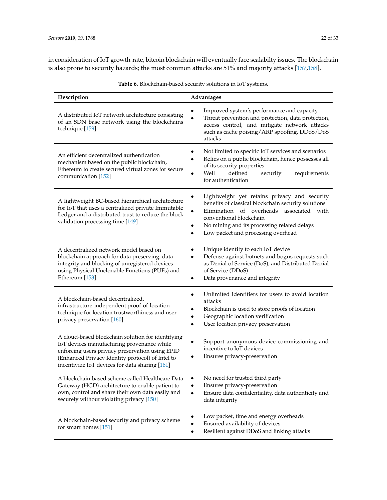in consideration of IoT growth-rate, bitcoin blockchain will eventually face scalabilty issues. The blockchain is also prone to security hazards; the most common attacks are 51% and majority attacks [\[157](#page-31-6)[,158\]](#page-31-7).

| Description                                                                                                                                                                                                                                              | Advantages                                                                                                                                                                                                                                                           |
|----------------------------------------------------------------------------------------------------------------------------------------------------------------------------------------------------------------------------------------------------------|----------------------------------------------------------------------------------------------------------------------------------------------------------------------------------------------------------------------------------------------------------------------|
| A distributed IoT network architecture consisting<br>of an SDN base network using the blockchains<br>technique [159]                                                                                                                                     | Improved system's performance and capacity<br>Threat prevention and protection, data protection,<br>access control, and mitigate network attacks<br>such as cache poising/ARP spoofing, DDoS/DoS<br>attacks                                                          |
| An efficient decentralized authentication<br>mechanism based on the public blockchain,<br>Ethereum to create secured virtual zones for secure<br>communication [152]                                                                                     | Not limited to specific IoT services and scenarios<br>Relies on a public blockchain, hence possesses all<br>of its security properties<br>Well<br>defined<br>security<br>requirements<br>for authentication                                                          |
| A lightweight BC-based hierarchical architecture<br>for IoT that uses a centralized private Immutable<br>Ledger and a distributed trust to reduce the block<br>validation processing time [149]                                                          | Lightweight yet retains privacy and security<br>benefits of classical blockchain security solutions<br>Elimination of overheads associated with<br>conventional blockchain<br>No mining and its processing related delays<br>٠<br>Low packet and processing overhead |
| A decentralized network model based on<br>blockchain approach for data preserving, data<br>integrity and blocking of unregistered devices<br>using Physical Unclonable Functions (PUFs) and<br>Ethereum [153]                                            | Unique identity to each IoT device<br>Defense against botnets and bogus requests such<br>as Denial of Service (DoS), and Distributed Denial<br>of Service (DDoS)<br>Data provenance and integrity<br>٠                                                               |
| A blockchain-based decentralized,<br>infrastructure-independent proof-of-location<br>technique for location trustworthiness and user<br>privacy preservation [160]                                                                                       | Unlimited identifiers for users to avoid location<br>attacks<br>Blockchain is used to store proofs of location<br>Geographic location verification<br>User location privacy preservation                                                                             |
| A cloud-based blockchain solution for identifying<br>IoT devices manufacturing provenance while<br>enforcing users privacy preservation using EPID<br>(Enhanced Privacy Identity protocol) of Intel to<br>incentivize IoT devices for data sharing [161] | Support anonymous device commissioning and<br>incentive to IoT devices<br>Ensures privacy-preservation                                                                                                                                                               |
| A blockchain-based scheme called Healthcare Data<br>Gateway (HGD) architecture to enable patient to<br>own, control and share their own data easily and<br>securely without violating privacy [150]                                                      | No need for trusted third party<br>Ensures privacy-preservation<br>Ensure data confidentiality, data authenticity and<br>data integrity                                                                                                                              |
| A blockchain-based security and privacy scheme<br>for smart homes [151]                                                                                                                                                                                  | Low packet, time and energy overheads<br>Ensured availability of devices<br>Resilient against DDoS and linking attacks                                                                                                                                               |

**Table 6.** Blockchain-based security solutions in IoT systems.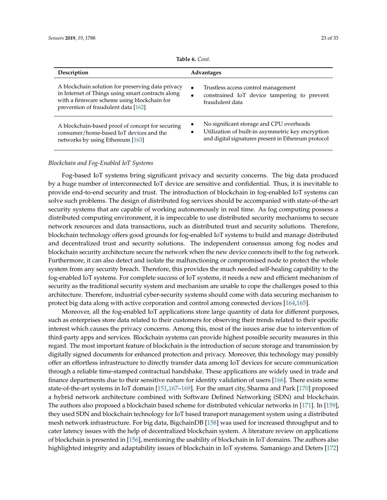<span id="page-22-0"></span>

| Description                                                                                                                                                                                  | <b>Advantages</b>                                                                                                                                    |
|----------------------------------------------------------------------------------------------------------------------------------------------------------------------------------------------|------------------------------------------------------------------------------------------------------------------------------------------------------|
| A blockchain solution for preserving data privacy<br>in Internet of Things using smart contracts along<br>with a firmware scheme using blockchain for<br>prevention of fraudulent data [162] | Trustless access control management<br>constrained IoT device tampering to prevent<br>fraudulent data                                                |
| A blockchain-based proof of concept for securing<br>consumer/home-based IoT devices and the<br>networks by using Ethereum [163]                                                              | No significant storage and CPU overheads<br>Utilization of built-in asymmetric key encryption<br>and digital signatures present in Ethereum protocol |

**Table 6.** *Cont.*

# *Blockchain and Fog-Enabled IoT Systems*

Fog-based IoT systems bring significant privacy and security concerns. The big data produced by a huge number of interconnected IoT device are sensitive and confidential. Thus, it is inevitable to provide end-to-end security and trust. The introduction of blockchain in fog-enabled IoT systems can solve such problems. The design of distributed fog services should be accompanied with state-of-the-art security systems that are capable of working autonomously in real time. As fog computing possess a distributed computing environment, it is impeccable to use distributed security mechanisms to secure network resources and data transactions, such as distributed trust and security solutions. Therefore, blockchain technology offers good grounds for fog-enabled IoT systems to build and manage distributed and decentralized trust and security solutions. The independent consensus among fog nodes and blockchain security architecture secure the network when the new device connects itself to the fog network. Furthermore, it can also detect and isolate the malfunctioning or compromised node to protect the whole system from any security breach. Therefore, this provides the much needed self-healing capability to the fog-enabled IoT systems. For complete success of IoT systems, it needs a new and efficient mechanism of security as the traditional security system and mechanism are unable to cope the challenges posed to this architecture. Therefore, industrial cyber-security systems should come with data securing mechanism to protect big data along with active corporation and control among connected devices [\[164](#page-31-13)[,165\]](#page-31-14).

Moreover, all the fog-enabled IoT applications store large quantity of data for different purposes, such as enterprises store data related to their customers for observing their trends related to their specific interest which causes the privacy concerns. Among this, most of the issues arise due to intervention of third-party apps and services. Blockchain systems can provide highest possible security measures in this regard. The most important feature of blockchain is the introduction of secure storage and transmission by digitally signed documents for enhanced protection and privacy. Moreover, this technology may possibly offer an effortless infrastructure to directly transfer data among IoT devices for secure communication through a reliable time-stamped contractual handshake. These applications are widely used in trade and finance departments due to their sensitive nature for identity validation of users [\[166\]](#page-31-15). There exists some state-of-the-art systems in IoT domain [\[151](#page-31-0)[,167–](#page-31-16)[169\]](#page-31-17). For the smart city, Sharma and Park [\[170\]](#page-31-18) proposed a hybrid network architecture combined with Software Defined Networking (SDN) and blockchain. The authors also proposed a blockchain based scheme for distributed vehicular networks in [\[171\]](#page-32-0). In [\[159\]](#page-31-8), they used SDN and blockchain technology for IoT based transport management system using a distributed mesh network infrastructure. For big data, BigchainDB [\[158\]](#page-31-7) was used for increased throughput and to cater latency issues with the help of decentralized blockchain system. A literature review on applications of blockchain is presented in [\[156\]](#page-31-5), mentioning the usability of blockchain in IoT domains. The authors also highlighted integrity and adaptability issues of blockchain in IoT systems. Samaniego and Deters [\[172\]](#page-32-1)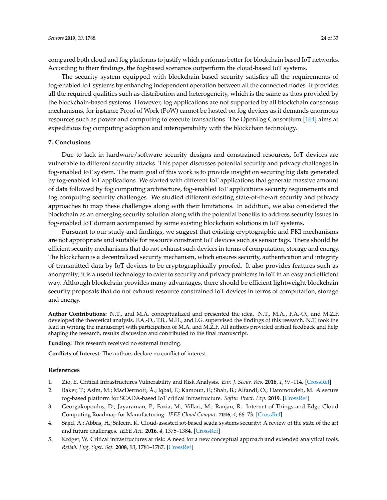compared both cloud and fog platforms to justify which performs better for blockchain based IoT networks. According to their findings, the fog-based scenarios outperform the cloud-based IoT systems.

The security system equipped with blockchain-based security satisfies all the requirements of fog-enabled IoT systems by enhancing independent operation between all the connected nodes. It provides all the required qualities such as distribution and heterogeneity, which is the same as thos provided by the blockchain-based systems. However, fog applications are not supported by all blockchain consensus mechanisms, for instance Proof of Work (PoW) cannot be hosted on fog devices as it demands enormous resources such as power and computing to execute transactions. The OpenFog Consortium [\[164\]](#page-31-13) aims at expeditious fog computing adoption and interoperability with the blockchain technology.

#### <span id="page-23-4"></span>**7. Conclusions**

Due to lack in hardware/software security designs and constrained resources, IoT devices are vulnerable to different security attacks. This paper discusses potential security and privacy challenges in fog-enabled IoT system. The main goal of this work is to provide insight on securing big data generated by fog-enabled IoT applications. We started with different IoT applications that generate massive amount of data followed by fog computing architecture, fog-enabled IoT applications security requirements and fog computing security challenges. We studied different existing state-of-the-art security and privacy approaches to map these challenges along with their limitations. In addition, we also considered the blockchain as an emerging security solution along with the potential benefits to address security issues in fog-enabled IoT domain accompanied by some existing blockchain solutions in IoT systems.

Pursuant to our study and findings, we suggest that existing cryptographic and PKI mechanisms are not appropriate and suitable for resource constraint IoT devices such as sensor tags. There should be efficient security mechanisms that do not exhaust such devices in terms of computation, storage and energy. The blockchain is a decentralized security mechanism, which ensures security, authentication and integrity of transmitted data by IoT devices to be cryptographically proofed. It also provides features such as anonymity; it is a useful technology to cater to security and privacy problems in IoT in an easy and efficient way. Although blockchain provides many advantages, there should be efficient lightweight blockchain security proposals that do not exhaust resource constrained IoT devices in terms of computation, storage and energy.

**Author Contributions:** N.T., and M.A. conceptualized and presented the idea. N.T., M.A., F.A.-O., and M.Z.F. developed the theoretical analysis. F.A.-O., T.B., M.H., and I.G. supervised the findings of this research. N.T. took the lead in writing the manuscript with participation of M.A. and M.Z.F. All authors provided critical feedback and help shaping the research, results discussion and contributed to the final manuscript.

**Funding:** This research received no external funding.

**Conflicts of Interest:** The authors declare no conflict of interest.

#### **References**

- <span id="page-23-0"></span>1. Zio, E. Critical Infrastructures Vulnerability and Risk Analysis. *Eur. J. Secur. Res.* **2016**, *1*, 97–114. [\[CrossRef\]](http://dx.doi.org/10.1007/s41125-016-0004-2)
- 2. Baker, T.; Asim, M.; MacDermott, Á.; Iqbal, F.; Kamoun, F.; Shah, B.; Alfandi, O.; Hammoudeh, M. A secure fog-based platform for SCADA-based IoT critical infrastructure. *Softw. Pract. Exp.* **2019**. [\[CrossRef\]](http://dx.doi.org/10.1002/spe.2688)
- <span id="page-23-1"></span>3. Georgakopoulos, D.; Jayaraman, P.; Fazia, M.; Villari, M.; Ranjan, R. Internet of Things and Edge Cloud Computing Roadmap for Manufacturing. *IEEE Cloud Comput.* **2016**, *4*, 66–73. [\[CrossRef\]](http://dx.doi.org/10.1109/MCC.2016.91)
- <span id="page-23-2"></span>4. Sajid, A.; Abbas, H.; Saleem, K. Cloud-assisted iot-based scada systems security: A review of the state of the art and future challenges. *IEEE Acc.* **2016**, *4*, 1375–1384. [\[CrossRef\]](http://dx.doi.org/10.1109/ACCESS.2016.2549047)
- <span id="page-23-3"></span>5. Kröger, W. Critical infrastructures at risk: A need for a new conceptual approach and extended analytical tools. *Reliab. Eng. Syst. Saf.* **2008**, *93*, 1781–1787. [\[CrossRef\]](http://dx.doi.org/10.1016/j.ress.2008.03.005)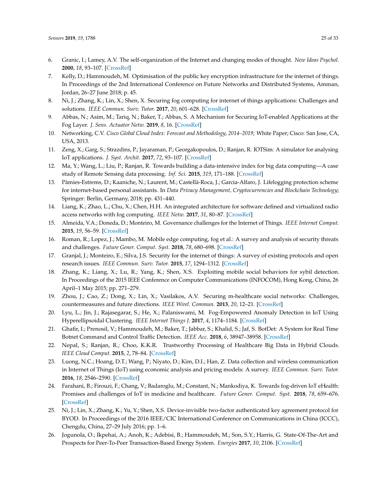- <span id="page-24-0"></span>6. Granic, I.; Lamey, A.V. The self-organization of the Internet and changing modes of thought. *New Ideas Psychol.* **2000**, *18*, 93–107. [\[CrossRef\]](http://dx.doi.org/10.1016/S0732-118X(99)00039-2)
- <span id="page-24-1"></span>7. Kelly, D.; Hammoudeh, M. Optimisation of the public key encryption infrastructure for the internet of things. In Proceedings of the 2nd International Conference on Future Networks and Distributed Systems, Amman, Jordan, 26–27 June 2018; p. 45.
- <span id="page-24-10"></span>8. Ni, J.; Zhang, K.; Lin, X.; Shen, X. Securing fog computing for internet of things applications: Challenges and solutions. *IEEE Commun. Surv. Tutor.* **2017**, *20*, 601–628. [\[CrossRef\]](http://dx.doi.org/10.1109/COMST.2017.2762345)
- <span id="page-24-2"></span>9. Abbas, N.; Asim, M.; Tariq, N.; Baker, T.; Abbas, S. A Mechanism for Securing IoT-enabled Applications at the Fog Layer. *J. Sens. Actuator Netw.* **2019**, *8*, 16. [\[CrossRef\]](http://dx.doi.org/10.3390/jsan8010016)
- <span id="page-24-3"></span>10. Networking, C.V. *Cisco Global Cloud Index: Forecast and Methodology, 2014–2019*; White Paper; Cisco: San Jose, CA, USA, 2013.
- <span id="page-24-4"></span>11. Zeng, X.; Garg, S.; Strazdins, P.; Jayaraman, P.; Georgakopoulos, D.; Ranjan, R. IOTSim: A simulator for analysing IoT applications. *J. Syst. Archit.* **2017**, *72*, 93–107. [\[CrossRef\]](http://dx.doi.org/10.1016/j.sysarc.2016.06.008)
- 12. Ma, Y.; Wang, L.; Liu, P.; Ranjan, R. Towards building a data-intensive index for big data computing—A case study of Remote Sensing data processing. *Inf. Sci.* **2015**, *319*, 171–188. [\[CrossRef\]](http://dx.doi.org/10.1016/j.ins.2014.10.006)
- <span id="page-24-5"></span>13. Pàmies-Estrems, D.; Kaaniche, N.; Laurent, M.; Castellà-Roca, J.; Garcia-Alfaro, J. Lifelogging protection scheme for internet-based personal assistants. In *Data Privacy Management, Cryptocurrencies and Blockchain Technology*; Springer: Berlin, Germany, 2018; pp. 431–440.
- <span id="page-24-6"></span>14. Liang, K.; Zhao, L.; Chu, X.; Chen, H.H. An integrated architecture for software defined and virtualized radio access networks with fog computing. *IEEE Netw.* **2017**, *31*, 80–87. [\[CrossRef\]](http://dx.doi.org/10.1109/MNET.2017.1600027NM)
- <span id="page-24-7"></span>15. Almeida, V.A.; Doneda, D.; Monteiro, M. Governance challenges for the Internet of Things. *IEEE Internet Comput.* **2015**, *19*, 56–59. [\[CrossRef\]](http://dx.doi.org/10.1109/MIC.2015.86)
- <span id="page-24-8"></span>16. Roman, R.; Lopez, J.; Mambo, M. Mobile edge computing, fog et al.: A survey and analysis of security threats and challenges. *Future Gener. Comput. Syst.* **2018**, *78*, 680–698. [\[CrossRef\]](http://dx.doi.org/10.1016/j.future.2016.11.009)
- <span id="page-24-9"></span>17. Granjal, J.; Monteiro, E.; Silva, J.S. Security for the internet of things: A survey of existing protocols and open research issues. *IEEE Commun. Surv. Tutor.* **2015**, *17*, 1294–1312. [\[CrossRef\]](http://dx.doi.org/10.1109/COMST.2015.2388550)
- <span id="page-24-11"></span>18. Zhang, K.; Liang, X.; Lu, R.; Yang, K.; Shen, X.S. Exploiting mobile social behaviors for sybil detection. In Proceedings of the 2015 IEEE Conference on Computer Communications (INFOCOM), Hong Kong, China, 26 April–1 May 2015; pp. 271–279.
- <span id="page-24-12"></span>19. Zhou, J.; Cao, Z.; Dong, X.; Lin, X.; Vasilakos, A.V. Securing m-healthcare social networks: Challenges, countermeasures and future directions. *IEEE Wirel. Commun.* **2013**, *20*, 12–21. [\[CrossRef\]](http://dx.doi.org/10.1109/MWC.2013.6590046)
- <span id="page-24-13"></span>20. Lyu, L.; Jin, J.; Rajasegarar, S.; He, X.; Palaniswami, M. Fog-Empowered Anomaly Detection in IoT Using Hyperellipsoidal Clustering. *IEEE Internet Things J.* **2017**, *4*, 1174–1184. [\[CrossRef\]](http://dx.doi.org/10.1109/JIOT.2017.2709942)
- <span id="page-24-14"></span>21. Ghafir, I.; Prenosil, V.; Hammoudeh, M.; Baker, T.; Jabbar, S.; Khalid, S.; Jaf, S. BotDet: A System for Real Time Botnet Command and Control Traffic Detection. *IEEE Acc.* **2018**, *6*, 38947–38958. [\[CrossRef\]](http://dx.doi.org/10.1109/ACCESS.2018.2846740)
- <span id="page-24-15"></span>22. Nepal, S.; Ranjan, R.; Choo, K.K.R. Trustworthy Processing of Healthcare Big Data in Hybrid Clouds. *IEEE Cloud Comput.* **2015**, *2*, 78–84. [\[CrossRef\]](http://dx.doi.org/10.1109/MCC.2015.36)
- <span id="page-24-16"></span>23. Luong, N.C.; Hoang, D.T.; Wang, P.; Niyato, D.; Kim, D.I.; Han, Z. Data collection and wireless communication in Internet of Things (IoT) using economic analysis and pricing models: A survey. *IEEE Commun. Surv. Tutor.* **2016**, *18*, 2546–2590. [\[CrossRef\]](http://dx.doi.org/10.1109/COMST.2016.2582841)
- <span id="page-24-17"></span>24. Farahani, B.; Firouzi, F.; Chang, V.; Badaroglu, M.; Constant, N.; Mankodiya, K. Towards fog-driven IoT eHealth: Promises and challenges of IoT in medicine and healthcare. *Future Gener. Comput. Syst.* **2018**, *78*, 659–676. [\[CrossRef\]](http://dx.doi.org/10.1016/j.future.2017.04.036)
- <span id="page-24-18"></span>25. Ni, J.; Lin, X.; Zhang, K.; Yu, Y.; Shen, X.S. Device-invisible two-factor authenticated key agreement protocol for BYOD. In Proceedings of the 2016 IEEE/CIC International Conference on Communications in China (ICCC), Chengdu, China, 27–29 July 2016; pp. 1–6.
- <span id="page-24-19"></span>26. Jogunola, O.; Ikpehai, A.; Anoh, K.; Adebisi, B.; Hammoudeh, M.; Son, S.Y.; Harris, G. State-Of-The-Art and Prospects for Peer-To-Peer Transaction-Based Energy System. *Energies* **2017**, *10*, 2106. [\[CrossRef\]](http://dx.doi.org/10.3390/en10122106)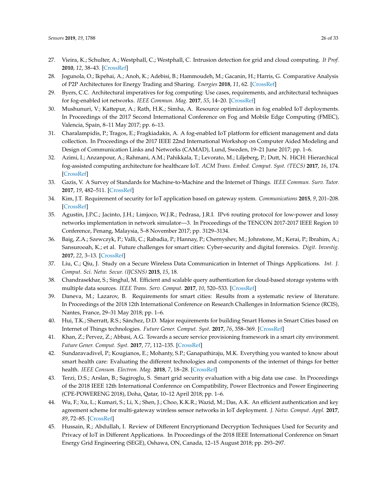- <span id="page-25-0"></span>27. Vieira, K.; Schulter, A.; Westphall, C.; Westphall, C. Intrusion detection for grid and cloud computing. *It Prof.* **2010**, *12*, 38–43. [\[CrossRef\]](http://dx.doi.org/10.1109/MITP.2009.89)
- <span id="page-25-1"></span>28. Jogunola, O.; Ikpehai, A.; Anoh, K.; Adebisi, B.; Hammoudeh, M.; Gacanin, H.; Harris, G. Comparative Analysis of P2P Architectures for Energy Trading and Sharing. *Energies* **2018**, *11*, 62. [\[CrossRef\]](http://dx.doi.org/10.3390/en11010062)
- <span id="page-25-2"></span>29. Byers, C.C. Architectural imperatives for fog computing: Use cases, requirements, and architectural techniques for fog-enabled iot networks. *IEEE Commun. Mag.* **2017**, *55*, 14–20. [\[CrossRef\]](http://dx.doi.org/10.1109/MCOM.2017.1600885)
- 30. Mushunuri, V.; Kattepur, A.; Rath, H.K.; Simha, A. Resource optimization in fog enabled IoT deployments. In Proceedings of the 2017 Second International Conference on Fog and Mobile Edge Computing (FMEC), Valencia, Spain, 8–11 May 2017; pp. 6–13.
- <span id="page-25-3"></span>31. Charalampidis, P.; Tragos, E.; Fragkiadakis, A. A fog-enabled IoT platform for efficient management and data collection. In Proceedings of the 2017 IEEE 22nd International Workshop on Computer Aided Modeling and Design of Communication Links and Networks (CAMAD), Lund, Sweden, 19–21 June 2017; pp. 1–6.
- <span id="page-25-4"></span>32. Azimi, I.; Anzanpour, A.; Rahmani, A.M.; Pahikkala, T.; Levorato, M.; Liljeberg, P.; Dutt, N. HiCH: Hierarchical fog-assisted computing architecture for healthcare IoT. *ACM Trans. Embed. Comput. Syst. (TECS)* **2017**, *16*, 174. [\[CrossRef\]](http://dx.doi.org/10.1145/3126501)
- <span id="page-25-5"></span>33. Gazis, V. A Survey of Standards for Machine-to-Machine and the Internet of Things. *IEEE Commun. Surv. Tutor.* **2017**, *19*, 482–511. [\[CrossRef\]](http://dx.doi.org/10.1109/COMST.2016.2592948)
- <span id="page-25-6"></span>34. Kim, J.T. Requirement of security for IoT application based on gateway system. *Communications* **2015**, *9*, 201–208. [\[CrossRef\]](http://dx.doi.org/10.14257/ijsia.2015.9.10.18)
- <span id="page-25-7"></span>35. Agustin, J.P.C.; Jacinto, J.H.; Limjoco, W.J.R.; Pedrasa, J.R.I. IPv6 routing protocol for low-power and lossy networks implementation in network simulator—3. In Proceedings of the TENCON 2017-2017 IEEE Region 10 Conference, Penang, Malaysia, 5–8 November 2017; pp. 3129–3134.
- <span id="page-25-8"></span>36. Baig, Z.A.; Szewczyk, P.; Valli, C.; Rabadia, P.; Hannay, P.; Chernyshev, M.; Johnstone, M.; Kerai, P.; Ibrahim, A.; Sansurooah, K.; et al. Future challenges for smart cities: Cyber-security and digital forensics. *Digit. Investig.* **2017**, *22*, 3–13. [\[CrossRef\]](http://dx.doi.org/10.1016/j.diin.2017.06.015)
- <span id="page-25-9"></span>37. Liu, C.; Qiu, J. Study on a Secure Wireless Data Communication in Internet of Things Applications. *Int. J. Comput. Sci. Netw. Secur. (IJCSNS)* **2015**, *15*, 18.
- <span id="page-25-10"></span>38. Chandrasekhar, S.; Singhal, M. Efficient and scalable query authentication for cloud-based storage systems with multiple data sources. *IEEE Trans. Serv. Comput.* **2017**, *10*, 520–533. [\[CrossRef\]](http://dx.doi.org/10.1109/TSC.2015.2500568)
- <span id="page-25-11"></span>39. Daneva, M.; Lazarov, B. Requirements for smart cities: Results from a systematic review of literature. In Proceedings of the 2018 12th International Conference on Research Challenges in Information Science (RCIS), Nantes, France, 29–31 May 2018; pp. 1–6.
- <span id="page-25-12"></span>40. Hui, T.K.; Sherratt, R.S.; Sánchez, D.D. Major requirements for building Smart Homes in Smart Cities based on Internet of Things technologies. *Future Gener. Comput. Syst.* **2017**, *76*, 358–369. [\[CrossRef\]](http://dx.doi.org/10.1016/j.future.2016.10.026)
- <span id="page-25-13"></span>41. Khan, Z.; Pervez, Z.; Abbasi, A.G. Towards a secure service provisioning framework in a smart city environment. *Future Gener. Comput. Syst.* **2017**, *77*, 112–135. [\[CrossRef\]](http://dx.doi.org/10.1016/j.future.2017.06.031)
- <span id="page-25-14"></span>42. Sundaravadivel, P.; Kougianos, E.; Mohanty, S.P.; Ganapathiraju, M.K. Everything you wanted to know about smart health care: Evaluating the different technologies and components of the internet of things for better health. *IEEE Consum. Electron. Mag.* **2018**, *7*, 18–28. [\[CrossRef\]](http://dx.doi.org/10.1109/MCE.2017.2755378)
- <span id="page-25-15"></span>43. Terzi, D.S.; Arslan, B.; Sagiroglu, S. Smart grid security evaluation with a big data use case. In Proceedings of the 2018 IEEE 12th International Conference on Compatibility, Power Electronics and Power Engineering (CPE-POWERENG 2018), Doha, Qatar, 10–12 April 2018; pp. 1–6.
- <span id="page-25-16"></span>44. Wu, F.; Xu, L.; Kumari, S.; Li, X.; Shen, J.; Choo, K.K.R.; Wazid, M.; Das, A.K. An efficient authentication and key agreement scheme for multi-gateway wireless sensor networks in IoT deployment. *J. Netw. Comput. Appl.* **2017**, *89*, 72–85. [\[CrossRef\]](http://dx.doi.org/10.1016/j.jnca.2016.12.008)
- <span id="page-25-17"></span>45. Hussain, R.; Abdullah, I. Review of Different Encryptionand Decryption Techniques Used for Security and Privacy of IoT in Different Applications. In Proceedings of the 2018 IEEE International Conference on Smart Energy Grid Engineering (SEGE), Oshawa, ON, Canada, 12–15 August 2018; pp. 293–297.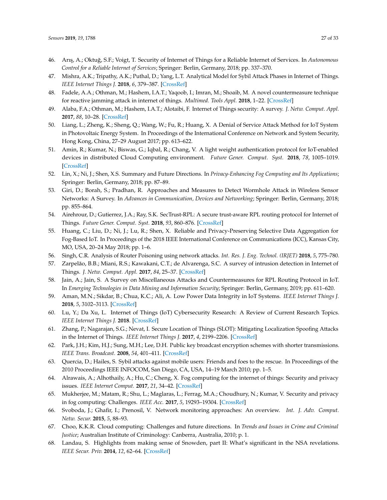- <span id="page-26-0"></span>46. Arı¸s, A.; Oktu ˘g, S.F.; Voigt, T. Security of Internet of Things for a Reliable Internet of Services. In *Autonomous Control for a Reliable Internet of Services*; Springer: Berlin, Germany, 2018; pp. 337–370.
- <span id="page-26-1"></span>47. Mishra, A.K.; Tripathy, A.K.; Puthal, D.; Yang, L.T. Analytical Model for Sybil Attack Phases in Internet of Things. *IEEE Internet Things J.* **2018**, *6*, 379–387. [\[CrossRef\]](http://dx.doi.org/10.1109/JIOT.2018.2843769)
- <span id="page-26-2"></span>48. Fadele, A.A.; Othman, M.; Hashem, I.A.T.; Yaqoob, I.; Imran, M.; Shoaib, M. A novel countermeasure technique for reactive jamming attack in internet of things. *Multimed. Tools Appl.* **2018**, 1–22. [\[CrossRef\]](http://dx.doi.org/10.1007/s11042-018-6684-z)
- <span id="page-26-3"></span>49. Alaba, F.A.; Othman, M.; Hashem, I.A.T.; Alotaibi, F. Internet of Things security: A survey. *J. Netw. Comput. Appl.* **2017**, *88*, 10–28. [\[CrossRef\]](http://dx.doi.org/10.1016/j.jnca.2017.04.002)
- <span id="page-26-4"></span>50. Liang, L.; Zheng, K.; Sheng, Q.; Wang, W.; Fu, R.; Huang, X. A Denial of Service Attack Method for IoT System in Photovoltaic Energy System. In Proceedings of the International Conference on Network and System Security, Hong Kong, China, 27–29 August 2017; pp. 613–622.
- <span id="page-26-5"></span>51. Amin, R.; Kumar, N.; Biswas, G.; Iqbal, R.; Chang, V. A light weight authentication protocol for IoT-enabled devices in distributed Cloud Computing environment. *Future Gener. Comput. Syst.* **2018**, *78*, 1005–1019. [\[CrossRef\]](http://dx.doi.org/10.1016/j.future.2016.12.028)
- <span id="page-26-6"></span>52. Lin, X.; Ni, J.; Shen, X.S. Summary and Future Directions. In *Privacy-Enhancing Fog Computing and Its Applications*; Springer: Berlin, Germany, 2018; pp. 87–89.
- <span id="page-26-7"></span>53. Giri, D.; Borah, S.; Pradhan, R. Approaches and Measures to Detect Wormhole Attack in Wireless Sensor Networks: A Survey. In *Advances in Communication, Devices and Networking*; Springer: Berlin, Germany, 2018; pp. 855–864.
- <span id="page-26-8"></span>54. Airehrour, D.; Gutierrez, J.A.; Ray, S.K. SecTrust-RPL: A secure trust-aware RPL routing protocol for Internet of Things. *Future Gener. Comput. Syst.* **2018**, *93*, 860–876. [\[CrossRef\]](http://dx.doi.org/10.1016/j.future.2018.03.021)
- <span id="page-26-9"></span>55. Huang, C.; Liu, D.; Ni, J.; Lu, R.; Shen, X. Reliable and Privacy-Preserving Selective Data Aggregation for Fog-Based IoT. In Proceedings of the 2018 IEEE International Conference on Communications (ICC), Kansas City, MO, USA, 20–24 May 2018; pp. 1–6.
- <span id="page-26-10"></span>56. Singh, C.R. Analysis of Router Poisoning using network attacks. *Int. Res. J. Eng. Technol. (IRJET)* **2018**, *5*, 775–780.
- <span id="page-26-11"></span>57. Zarpelão, B.B.; Miani, R.S.; Kawakani, C.T.; de Alvarenga, S.C. A survey of intrusion detection in Internet of Things. *J. Netw. Comput. Appl.* **2017**, *84*, 25–37. [\[CrossRef\]](http://dx.doi.org/10.1016/j.jnca.2017.02.009)
- <span id="page-26-12"></span>58. Jain, A.; Jain, S. A Survey on Miscellaneous Attacks and Countermeasures for RPL Routing Protocol in IoT. In *Emerging Technologies in Data Mining and Information Security*; Springer: Berlin, Germany, 2019; pp. 611–620.
- <span id="page-26-13"></span>59. Aman, M.N.; Sikdar, B.; Chua, K.C.; Ali, A. Low Power Data Integrity in IoT Systems. *IEEE Internet Things J.* **2018**, *5*, 3102–3113. [\[CrossRef\]](http://dx.doi.org/10.1109/JIOT.2018.2833206)
- <span id="page-26-14"></span>60. Lu, Y.; Da Xu, L. Internet of Things (IoT) Cybersecurity Research: A Review of Current Research Topics. *IEEE Internet Things J.* **2018**. [\[CrossRef\]](http://dx.doi.org/10.1109/JIOT.2018.2869847)
- <span id="page-26-15"></span>61. Zhang, P.; Nagarajan, S.G.; Nevat, I. Secure Location of Things (SLOT): Mitigating Localization Spoofing Attacks in the Internet of Things. *IEEE Internet Things J.* **2017**, *4*, 2199–2206. [\[CrossRef\]](http://dx.doi.org/10.1109/JIOT.2017.2753579)
- <span id="page-26-16"></span>62. Park, J.H.; Kim, H.J.; Sung, M.H.; Lee, D.H. Public key broadcast encryption schemes with shorter transmissions. *IEEE Trans. Broadcast.* **2008**, *54*, 401–411. [\[CrossRef\]](http://dx.doi.org/10.1109/TBC.2008.919940)
- <span id="page-26-17"></span>63. Quercia, D.; Hailes, S. Sybil attacks against mobile users: Friends and foes to the rescue. In Proceedings of the 2010 Proceedings IEEE INFOCOM, San Diego, CA, USA, 14–19 March 2010; pp. 1–5.
- <span id="page-26-18"></span>64. Alrawais, A.; Alhothaily, A.; Hu, C.; Cheng, X. Fog computing for the internet of things: Security and privacy issues. *IEEE Internet Comput.* **2017**, *21*, 34–42. [\[CrossRef\]](http://dx.doi.org/10.1109/MIC.2017.37)
- <span id="page-26-19"></span>65. Mukherjee, M.; Matam, R.; Shu, L.; Maglaras, L.; Ferrag, M.A.; Choudhury, N.; Kumar, V. Security and privacy in fog computing: Challenges. *IEEE Acc.* **2017**, *5*, 19293–19304. [\[CrossRef\]](http://dx.doi.org/10.1109/ACCESS.2017.2749422)
- <span id="page-26-20"></span>66. Svoboda, J.; Ghafir, I.; Prenosil, V. Network monitoring approaches: An overview. *Int. J. Adv. Comput. Netw. Secur.* **2015**, *5*, 88–93.
- <span id="page-26-21"></span>67. Choo, K.K.R. Cloud computing: Challenges and future directions. In *Trends and Issues in Crime and Criminal Justice*; Australian Institute of Criminology: Canberra, Australia, 2010; p. 1.
- <span id="page-26-22"></span>68. Landau, S. Highlights from making sense of Snowden, part II: What's significant in the NSA revelations. *IEEE Secur. Priv.* **2014**, *12*, 62–64. [\[CrossRef\]](http://dx.doi.org/10.1109/MSP.2013.161)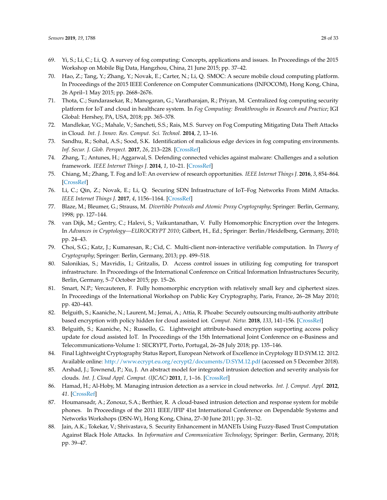- <span id="page-27-0"></span>69. Yi, S.; Li, C.; Li, Q. A survey of fog computing: Concepts, applications and issues. In Proceedings of the 2015 Workshop on Mobile Big Data, Hangzhou, China, 21 June 2015; pp. 37–42.
- 70. Hao, Z.; Tang, Y.; Zhang, Y.; Novak, E.; Carter, N.; Li, Q. SMOC: A secure mobile cloud computing platform. In Proceedings of the 2015 IEEE Conference on Computer Communications (INFOCOM), Hong Kong, China, 26 April–1 May 2015; pp. 2668–2676.
- <span id="page-27-1"></span>71. Thota, C.; Sundarasekar, R.; Manogaran, G.; Varatharajan, R.; Priyan, M. Centralized fog computing security platform for IoT and cloud in healthcare system. In *Fog Computing: Breakthroughs in Research and Practice*; IGI Global: Hershey, PA, USA, 2018; pp. 365–378.
- <span id="page-27-2"></span>72. Mandlekar, V.G.; Mahale, V.; Sancheti, S.S.; Rais, M.S. Survey on Fog Computing Mitigating Data Theft Attacks in Cloud. *Int. J. Innov. Res. Comput. Sci. Technol.* **2014**, *2*, 13–16.
- <span id="page-27-3"></span>73. Sandhu, R.; Sohal, A.S.; Sood, S.K. Identification of malicious edge devices in fog computing environments. *Inf. Secur. J. Glob. Perspect.* **2017**, *26*, 213–228. [\[CrossRef\]](http://dx.doi.org/10.1080/19393555.2017.1334843)
- <span id="page-27-4"></span>74. Zhang, T.; Antunes, H.; Aggarwal, S. Defending connected vehicles against malware: Challenges and a solution framework. *IEEE Internet Things J.* **2014**, *1*, 10–21. [\[CrossRef\]](http://dx.doi.org/10.1109/JIOT.2014.2302386)
- <span id="page-27-5"></span>75. Chiang, M.; Zhang, T. Fog and IoT: An overview of research opportunities. *IEEE Internet Things J.* **2016**, *3*, 854–864. [\[CrossRef\]](http://dx.doi.org/10.1109/JIOT.2016.2584538)
- <span id="page-27-6"></span>76. Li, C.; Qin, Z.; Novak, E.; Li, Q. Securing SDN Infrastructure of IoT–Fog Networks From MitM Attacks. *IEEE Internet Things J.* **2017**, *4*, 1156–1164. [\[CrossRef\]](http://dx.doi.org/10.1109/JIOT.2017.2685596)
- <span id="page-27-7"></span>77. Blaze, M.; Bleumer, G.; Strauss, M. *Divertible Protocols and Atomic Proxy Cryptography*; Springer: Berlin, Germany, 1998; pp. 127–144.
- <span id="page-27-8"></span>78. van Dijk, M.; Gentry, C.; Halevi, S.; Vaikuntanathan, V. Fully Homomorphic Encryption over the Integers. In *Advances in Cryptology—EUROCRYPT 2010*; Gilbert, H., Ed.; Springer: Berlin/Heidelberg, Germany, 2010; pp. 24–43.
- <span id="page-27-9"></span>79. Choi, S.G.; Katz, J.; Kumaresan, R.; Cid, C. Multi-client non-interactive verifiable computation. In *Theory of Cryptography*; Springer: Berlin, Germany, 2013; pp. 499–518.
- <span id="page-27-10"></span>80. Salonikias, S.; Mavridis, I.; Gritzalis, D. Access control issues in utilizing fog computing for transport infrastructure. In Proceedings of the International Conference on Critical Information Infrastructures Security, Berlin, Germany, 5–7 October 2015; pp. 15–26.
- <span id="page-27-11"></span>81. Smart, N.P.; Vercauteren, F. Fully homomorphic encryption with relatively small key and ciphertext sizes. In Proceedings of the International Workshop on Public Key Cryptography, Paris, France, 26–28 May 2010; pp. 420–443.
- <span id="page-27-12"></span>82. Belguith, S.; Kaaniche, N.; Laurent, M.; Jemai, A.; Attia, R. Phoabe: Securely outsourcing multi-authority attribute based encryption with policy hidden for cloud assisted iot. *Comput. Netw.* **2018**, *133*, 141–156. [\[CrossRef\]](http://dx.doi.org/10.1016/j.comnet.2018.01.036)
- <span id="page-27-13"></span>83. Belguith, S.; Kaaniche, N.; Russello, G. Lightweight attribute-based encryption supporting access policy update for cloud assisted IoT. In Proceedings of the 15th International Joint Conference on e-Business and Telecommunications-Volume 1: SECRYPT, Porto, Portugal, 26–28 July 2018; pp. 135–146.
- <span id="page-27-14"></span>84. Final Lightweight Cryptography Status Report, European Network of Excellence in Cryptology II D.SYM.12. 2012. Available online: <http://www.ecrypt.eu.org/ecrypt2/documents/D.SYM.12.pdf> (accessed on 5 December 2018).
- <span id="page-27-15"></span>85. Arshad, J.; Townend, P.; Xu, J. An abstract model for integrated intrusion detection and severity analysis for clouds. *Int. J. Cloud Appl. Comput. (IJCAC)* **2011**, *1*, 1–16. [\[CrossRef\]](http://dx.doi.org/10.4018/ijcac.2011010101)
- <span id="page-27-16"></span>86. Hamad, H.; Al-Hoby, M. Managing intrusion detection as a service in cloud networks. *Int. J. Comput. Appl.* **2012**, *41*. [\[CrossRef\]](http://dx.doi.org/10.5120/5508-7533)
- <span id="page-27-17"></span>87. Houmansadr, A.; Zonouz, S.A.; Berthier, R. A cloud-based intrusion detection and response system for mobile phones. In Proceedings of the 2011 IEEE/IFIP 41st International Conference on Dependable Systems and Networks Workshops (DSN-W), Hong Kong, China, 27–30 June 2011; pp. 31–32.
- <span id="page-27-18"></span>88. Jain, A.K.; Tokekar, V.; Shrivastava, S. Security Enhancement in MANETs Using Fuzzy-Based Trust Computation Against Black Hole Attacks. In *Information and Communication Technology*; Springer: Berlin, Germany, 2018; pp. 39–47.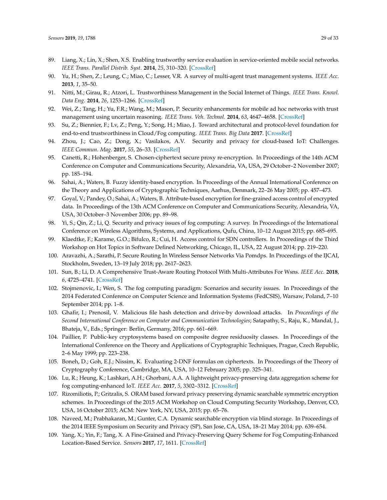- <span id="page-28-0"></span>89. Liang, X.; Lin, X.; Shen, X.S. Enabling trustworthy service evaluation in service-oriented mobile social networks. *IEEE Trans. Parallel Distrib. Syst.* **2014**, *25*, 310–320. [\[CrossRef\]](http://dx.doi.org/10.1109/TPDS.2013.37)
- <span id="page-28-1"></span>90. Yu, H.; Shen, Z.; Leung, C.; Miao, C.; Lesser, V.R. A survey of multi-agent trust management systems. *IEEE Acc.* **2013**, *1*, 35–50.
- <span id="page-28-2"></span>91. Nitti, M.; Girau, R.; Atzori, L. Trustworthiness Management in the Social Internet of Things. *IEEE Trans. Knowl. Data Eng.* **2014**, *26*, 1253–1266. [\[CrossRef\]](http://dx.doi.org/10.1109/TKDE.2013.105)
- <span id="page-28-3"></span>92. Wei, Z.; Tang, H.; Yu, F.R.; Wang, M.; Mason, P. Security enhancements for mobile ad hoc networks with trust management using uncertain reasoning. *IEEE Trans. Veh. Technol.* **2014**, *63*, 4647–4658. [\[CrossRef\]](http://dx.doi.org/10.1109/TVT.2014.2313865)
- <span id="page-28-4"></span>93. Su, Z.; Biennier, F.; Lv, Z.; Peng, Y.; Song, H.; Miao, J. Toward architectural and protocol-level foundation for end-to-end trustworthiness in Cloud/Fog computing. *IEEE Trans. Big Data* **2017**. [\[CrossRef\]](http://dx.doi.org/10.1109/TBDATA.2017.2705418)
- <span id="page-28-5"></span>94. Zhou, J.; Cao, Z.; Dong, X.; Vasilakos, A.V. Security and privacy for cloud-based IoT: Challenges. *IEEE Commun. Mag.* **2017**, *55*, 26–33. [\[CrossRef\]](http://dx.doi.org/10.1109/MCOM.2017.1600363CM)
- <span id="page-28-6"></span>95. Canetti, R.; Hohenberger, S. Chosen-ciphertext secure proxy re-encryption. In Proceedings of the 14th ACM Conference on Computer and Communications Security, Alexandria, VA, USA, 29 October–2 November 2007; pp. 185–194.
- <span id="page-28-7"></span>96. Sahai, A.; Waters, B. Fuzzy identity-based encryption. In Proceedings of the Annual International Conference on the Theory and Applications of Cryptographic Techniques, Aarhus, Denmark, 22–26 May 2005; pp. 457–473.
- <span id="page-28-8"></span>97. Goyal, V.; Pandey, O.; Sahai, A.; Waters, B. Attribute-based encryption for fine-grained access control of encrypted data. In Proceedings of the 13th ACM Conference on Computer and Communications Security, Alexandria, VA, USA, 30 October–3 November 2006; pp. 89–98.
- <span id="page-28-9"></span>98. Yi, S.; Qin, Z.; Li, Q. Security and privacy issues of fog computing: A survey. In Proceedings of the International Conference on Wireless Algorithms, Systems, and Applications, Qufu, China, 10–12 August 2015; pp. 685–695.
- <span id="page-28-10"></span>99. Klaedtke, F.; Karame, G.O.; Bifulco, R.; Cui, H. Access control for SDN controllers. In Proceedings of the Third Workshop on Hot Topics in Software Defined Networking, Chicago, IL, USA, 22 August 2014; pp. 219–220.
- <span id="page-28-11"></span>100. Aravazhi, A.; Sarathi, P. Secure Routing In Wireless Sensor Networks Via Pomdps. In Proceedings of the IJCAI, Stockholm, Sweden, 13–19 July 2018; pp. 2617–2623.
- <span id="page-28-12"></span>101. Sun, B.; Li, D. A Comprehensive Trust-Aware Routing Protocol With Multi-Attributes For Wsns. *IEEE Acc.* **2018**, *6*, 4725–4741. [\[CrossRef\]](http://dx.doi.org/10.1109/ACCESS.2017.2786944)
- <span id="page-28-13"></span>102. Stojmenovic, I.; Wen, S. The fog computing paradigm: Scenarios and security issues. In Proceedings of the 2014 Federated Conference on Computer Science and Information Systems (FedCSIS), Warsaw, Poland, 7–10 September 2014; pp. 1–8.
- <span id="page-28-14"></span>103. Ghafir, I.; Prenosil, V. Malicious file hash detection and drive-by download attacks. In *Proceedings of the Second International Conference on Computer and Communication Technologies*; Satapathy, S., Raju, K., Mandal, J., Bhateja, V., Eds.; Springer: Berlin, Germany, 2016; pp. 661–669.
- <span id="page-28-15"></span>104. Paillier, P. Public-key cryptosystems based on composite degree residuosity classes. In Proceedings of the International Conference on the Theory and Applications of Cryptographic Techniques, Prague, Czech Republic, 2–6 May 1999; pp. 223–238.
- <span id="page-28-16"></span>105. Boneh, D.; Goh, E.J.; Nissim, K. Evaluating 2-DNF formulas on ciphertexts. In Proceedings of the Theory of Cryptography Conference, Cambridge, MA, USA, 10–12 February 2005; pp. 325–341.
- <span id="page-28-17"></span>106. Lu, R.; Heung, K.; Lashkari, A.H.; Ghorbani, A.A. A lightweight privacy-preserving data aggregation scheme for fog computing-enhanced IoT. *IEEE Acc.* **2017**, *5*, 3302–3312. [\[CrossRef\]](http://dx.doi.org/10.1109/ACCESS.2017.2677520)
- <span id="page-28-18"></span>107. Rizomiliotis, P.; Gritzalis, S. ORAM based forward privacy preserving dynamic searchable symmetric encryption schemes. In Proceedings of the 2015 ACM Workshop on Cloud Computing Security Workshop, Denver, CO, USA, 16 October 2015; ACM: New York, NY, USA, 2015; pp. 65–76.
- <span id="page-28-19"></span>108. Naveed, M.; Prabhakaran, M.; Gunter, C.A. Dynamic searchable encryption via blind storage. In Proceedings of the 2014 IEEE Symposium on Security and Privacy (SP), San Jose, CA, USA, 18–21 May 2014; pp. 639–654.
- <span id="page-28-20"></span>109. Yang, X.; Yin, F.; Tang, X. A Fine-Grained and Privacy-Preserving Query Scheme for Fog Computing-Enhanced Location-Based Service. *Sensors* **2017**, *17*, 1611. [\[CrossRef\]](http://dx.doi.org/10.3390/s17071611)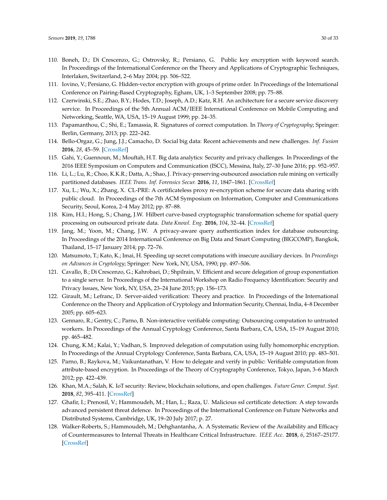- <span id="page-29-0"></span>110. Boneh, D.; Di Crescenzo, G.; Ostrovsky, R.; Persiano, G. Public key encryption with keyword search. In Proceedings of the International Conference on the Theory and Applications of Cryptographic Techniques, Interlaken, Switzerland, 2–6 May 2004; pp. 506–522.
- <span id="page-29-1"></span>111. Iovino, V.; Persiano, G. Hidden-vector encryption with groups of prime order. In Proceedings of the International Conference on Pairing-Based Cryptography, Egham, UK, 1–3 September 2008; pp. 75–88.
- <span id="page-29-2"></span>112. Czerwinski, S.E.; Zhao, B.Y.; Hodes, T.D.; Joseph, A.D.; Katz, R.H. An architecture for a secure service discovery service. In Proceedings of the 5th Annual ACM/IEEE International Conference on Mobile Computing and Networking, Seattle, WA, USA, 15–19 August 1999; pp. 24–35.
- <span id="page-29-3"></span>113. Papamanthou, C.; Shi, E.; Tamassia, R. Signatures of correct computation. In *Theory of Cryptography*; Springer: Berlin, Germany, 2013; pp. 222–242.
- <span id="page-29-4"></span>114. Bello-Orgaz, G.; Jung, J.J.; Camacho, D. Social big data: Recent achievements and new challenges. *Inf. Fusion* **2016**, *28*, 45–59. [\[CrossRef\]](http://dx.doi.org/10.1016/j.inffus.2015.08.005)
- <span id="page-29-5"></span>115. Gahi, Y.; Guennoun, M.; Mouftah, H.T. Big data analytics: Security and privacy challenges. In Proceedings of the 2016 IEEE Symposium on Computers and Communication (ISCC), Messina, Italy, 27–30 June 2016; pp. 952–957.
- <span id="page-29-6"></span>116. Li, L.; Lu, R.; Choo, K.K.R.; Datta, A.; Shao, J. Privacy-preserving-outsourced association rule mining on vertically partitioned databases. *IEEE Trans. Inf. Forensics Secur.* **2016**, *11*, 1847–1861. [\[CrossRef\]](http://dx.doi.org/10.1109/TIFS.2016.2561241)
- <span id="page-29-7"></span>117. Xu, L.; Wu, X.; Zhang, X. CL-PRE: A certificateless proxy re-encryption scheme for secure data sharing with public cloud. In Proceedings of the 7th ACM Symposium on Information, Computer and Communications Security, Seoul, Korea, 2–4 May 2012; pp. 87–88.
- <span id="page-29-8"></span>118. Kim, H.I.; Hong, S.; Chang, J.W. Hilbert curve-based cryptographic transformation scheme for spatial query processing on outsourced private data. *Data Knowl. Eng.* **2016**, *104*, 32–44. [\[CrossRef\]](http://dx.doi.org/10.1016/j.datak.2015.05.002)
- <span id="page-29-9"></span>119. Jang, M.; Yoon, M.; Chang, J.W. A privacy-aware query authentication index for database outsourcing. In Proceedings of the 2014 International Conference on Big Data and Smart Computing (BIGCOMP), Bangkok, Thailand, 15–17 January 2014; pp. 72–76.
- <span id="page-29-10"></span>120. Matsumoto, T.; Kato, K.; Imai, H. Speeding up secret computations with insecure auxiliary devices. In *Proceedings on Advances in Cryptology*; Springer: New York, NY, USA, 1990; pp. 497–506.
- <span id="page-29-11"></span>121. Cavallo, B.; Di Crescenzo, G.; Kahrobaei, D.; Shpilrain, V. Efficient and secure delegation of group exponentiation to a single server. In Proceedings of the International Workshop on Radio Frequency Identification: Security and Privacy Issues, New York, NY, USA, 23–24 June 2015; pp. 156–173.
- <span id="page-29-12"></span>122. Girault, M.; Lefranc, D. Server-aided verification: Theory and practice. In Proceedings of the International Conference on the Theory and Application of Cryptology and Information Security, Chennai, India, 4–8 December 2005; pp. 605–623.
- <span id="page-29-13"></span>123. Gennaro, R.; Gentry, C.; Parno, B. Non-interactive verifiable computing: Outsourcing computation to untrusted workers. In Proceedings of the Annual Cryptology Conference, Santa Barbara, CA, USA, 15–19 August 2010; pp. 465–482.
- <span id="page-29-14"></span>124. Chung, K.M.; Kalai, Y.; Vadhan, S. Improved delegation of computation using fully homomorphic encryption. In Proceedings of the Annual Cryptology Conference, Santa Barbara, CA, USA, 15–19 August 2010; pp. 483–501.
- <span id="page-29-15"></span>125. Parno, B.; Raykova, M.; Vaikuntanathan, V. How to delegate and verify in public: Verifiable computation from attribute-based encryption. In Proceedings of the Theory of Cryptography Conference, Tokyo, Japan, 3–6 March 2012; pp. 422–439.
- <span id="page-29-16"></span>126. Khan, M.A.; Salah, K. IoT security: Review, blockchain solutions, and open challenges. *Future Gener. Comput. Syst.* **2018**, *82*, 395–411. [\[CrossRef\]](http://dx.doi.org/10.1016/j.future.2017.11.022)
- <span id="page-29-17"></span>127. Ghafir, I.; Prenosil, V.; Hammoudeh, M.; Han, L.; Raza, U. Malicious ssl certificate detection: A step towards advanced persistent threat defence. In Proceedings of the International Conference on Future Networks and Distributed Systems, Cambridge, UK, 19–20 July 2017; p. 27.
- <span id="page-29-18"></span>128. Walker-Roberts, S.; Hammoudeh, M.; Dehghantanha, A. A Systematic Review of the Availability and Efficacy of Countermeasures to Internal Threats in Healthcare Critical Infrastructure. *IEEE Acc.* **2018**, *6*, 25167–25177. [\[CrossRef\]](http://dx.doi.org/10.1109/ACCESS.2018.2817560)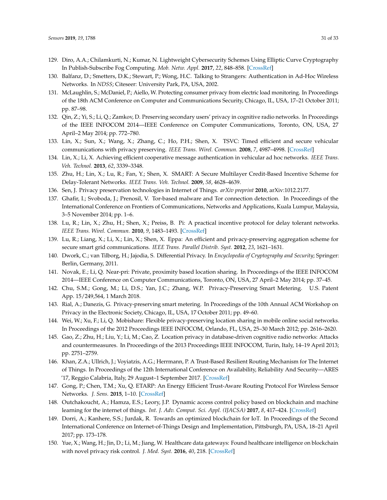- <span id="page-30-0"></span>129. Diro, A.A.; Chilamkurti, N.; Kumar, N. Lightweight Cybersecurity Schemes Using Elliptic Curve Cryptography In Publish-Subscribe Fog Computing. *Mob. Netw. Appl.* **2017**, *22*, 848–858. [\[CrossRef\]](http://dx.doi.org/10.1007/s11036-017-0851-8)
- <span id="page-30-1"></span>130. Balfanz, D.; Smetters, D.K.; Stewart, P.; Wong, H.C. Talking to Strangers: Authentication in Ad-Hoc Wireless Networks. In *NDSS*; Citeseer: University Park, PA, USA, 2002.
- <span id="page-30-2"></span>131. McLaughlin, S.; McDaniel, P.; Aiello, W. Protecting consumer privacy from electric load monitoring. In Proceedings of the 18th ACM Conference on Computer and Communications Security, Chicago, IL, USA, 17–21 October 2011; pp. 87–98.
- <span id="page-30-3"></span>132. Qin, Z.; Yi, S.; Li, Q.; Zamkov, D. Preserving secondary users' privacy in cognitive radio networks. In Proceedings of the IEEE INFOCOM 2014—IEEE Conference on Computer Communications, Toronto, ON, USA, 27 April–2 May 2014; pp. 772–780.
- <span id="page-30-4"></span>133. Lin, X.; Sun, X.; Wang, X.; Zhang, C.; Ho, P.H.; Shen, X. TSVC: Timed efficient and secure vehicular communications with privacy preserving. *IEEE Trans. Wirel. Commun.* **2008**, *7*, 4987–4998. [\[CrossRef\]](http://dx.doi.org/10.1109/T-WC.2008.070773)
- <span id="page-30-6"></span>134. Lin, X.; Li, X. Achieving efficient cooperative message authentication in vehicular ad hoc networks. *IEEE Trans. Veh. Technol.* **2013**, *62*, 3339–3348.
- <span id="page-30-5"></span>135. Zhu, H.; Lin, X.; Lu, R.; Fan, Y.; Shen, X. SMART: A Secure Multilayer Credit-Based Incentive Scheme for Delay-Tolerant Networks. *IEEE Trans. Veh. Technol.* **2009**, *58*, 4628–4639.
- <span id="page-30-7"></span>136. Sen, J. Privacy preservation technologies in Internet of Things. *arXiv preprint* **2010**, arXiv:1012.2177.
- 137. Ghafir, I.; Svoboda, J.; Prenosil, V. Tor-based malware and Tor connection detection. In Proceedings of the International Conference on Frontiers of Communications, Networks and Applications, Kuala Lumpur, Malaysia, 3–5 November 2014; pp. 1–6.
- <span id="page-30-8"></span>138. Lu, R.; Lin, X.; Zhu, H.; Shen, X.; Preiss, B. Pi: A practical incentive protocol for delay tolerant networks. *IEEE Trans. Wirel. Commun.* **2010**, *9*, 1483–1493. [\[CrossRef\]](http://dx.doi.org/10.1109/TWC.2010.04.090557)
- <span id="page-30-9"></span>139. Lu, R.; Liang, X.; Li, X.; Lin, X.; Shen, X. Eppa: An efficient and privacy-preserving aggregation scheme for secure smart grid communications. *IEEE Trans. Parallel Distrib. Syst.* **2012**, *23*, 1621–1631.
- <span id="page-30-10"></span>140. Dwork, C.; van Tilborg, H.; Jajodia, S. Differential Privacy. In *Encyclopedia of Cryptography and Security*; Springer: Berlin, Germany, 2011.
- <span id="page-30-11"></span>141. Novak, E.; Li, Q. Near-pri: Private, proximity based location sharing. In Proceedings of the IEEE INFOCOM 2014—IEEE Conference on Computer Communications, Toronto, ON, USA, 27 April–2 May 2014; pp. 37–45.
- 142. Chu, S.M.; Gong, M.; Li, D.S.; Yan, J.C.; Zhang, W.P. Privacy-Preserving Smart Metering. U.S. Patent App. 15/249,564, 1 March 2018.
- <span id="page-30-12"></span>143. Rial, A.; Danezis, G. Privacy-preserving smart metering. In Proceedings of the 10th Annual ACM Workshop on Privacy in the Electronic Society, Chicago, IL, USA, 17 October 2011; pp. 49–60.
- <span id="page-30-13"></span>144. Wei, W.; Xu, F.; Li, Q. Mobishare: Flexible privacy-preserving location sharing in mobile online social networks. In Proceedings of the 2012 Proceedings IEEE INFOCOM, Orlando, FL, USA, 25–30 March 2012; pp. 2616–2620.
- <span id="page-30-14"></span>145. Gao, Z.; Zhu, H.; Liu, Y.; Li, M.; Cao, Z. Location privacy in database-driven cognitive radio networks: Attacks and countermeasures. In Proceedings of the 2013 Proceedings IEEE INFOCOM, Turin, Italy, 14–19 April 2013; pp. 2751–2759.
- <span id="page-30-15"></span>146. Khan, Z.A.; Ullrich, J.; Voyiatzis, A.G.; Herrmann, P. A Trust-Based Resilient Routing Mechanism for The Internet of Things. In Proceedings of the 12th International Conference on Availability, Reliability And Security—ARES '17, Reggio Calabria, Italy, 29 August–1 September 2017. [\[CrossRef\]](http://dx.doi.org/10.1145/3098954.3098963)
- <span id="page-30-16"></span>147. Gong, P.; Chen, T.M.; Xu, Q. ETARP: An Energy Efficient Trust-Aware Routing Protocol For Wireless Sensor Networks. *J. Sens.* **2015**, 1–10. [\[CrossRef\]](http://dx.doi.org/10.1155/2015/469793)
- <span id="page-30-17"></span>148. Outchakoucht, A.; Hamza, E.S.; Leory, J.P. Dynamic access control policy based on blockchain and machine learning for the internet of things. *Int. J. Adv. Comput. Sci. Appl. (IJACSA)* **2017**, *8*, 417–424. [\[CrossRef\]](http://dx.doi.org/10.14569/IJACSA.2017.080757)
- <span id="page-30-18"></span>149. Dorri, A.; Kanhere, S.S.; Jurdak, R. Towards an optimized blockchain for IoT. In Proceedings of the Second International Conference on Internet-of-Things Design and Implementation, Pittsburgh, PA, USA, 18–21 April 2017; pp. 173–178.
- <span id="page-30-19"></span>150. Yue, X.; Wang, H.; Jin, D.; Li, M.; Jiang, W. Healthcare data gateways: Found healthcare intelligence on blockchain with novel privacy risk control. *J. Med. Syst.* **2016**, *40*, 218. [\[CrossRef\]](http://dx.doi.org/10.1007/s10916-016-0574-6)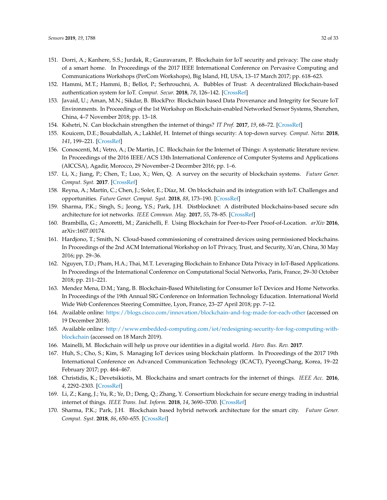- <span id="page-31-0"></span>151. Dorri, A.; Kanhere, S.S.; Jurdak, R.; Gauravaram, P. Blockchain for IoT security and privacy: The case study of a smart home. In Proceedings of the 2017 IEEE International Conference on Pervasive Computing and Communications Workshops (PerCom Workshops), Big Island, HI, USA, 13–17 March 2017; pp. 618–623.
- <span id="page-31-1"></span>152. Hammi, M.T.; Hammi, B.; Bellot, P.; Serhrouchni, A. Bubbles of Trust: A decentralized Blockchain-based authentication system for IoT. *Comput. Secur.* **2018**, *78*, 126–142. [\[CrossRef\]](http://dx.doi.org/10.1016/j.cose.2018.06.004)
- <span id="page-31-2"></span>153. Javaid, U.; Aman, M.N.; Sikdar, B. BlockPro: Blockchain based Data Provenance and Integrity for Secure IoT Environments. In Proceedings of the 1st Workshop on Blockchain-enabled Networked Sensor Systems, Shenzhen, China, 4–7 November 2018; pp. 13–18.
- <span id="page-31-3"></span>154. Kshetri, N. Can blockchain strengthen the internet of things? *IT Prof.* **2017**, *19*, 68–72. [\[CrossRef\]](http://dx.doi.org/10.1109/MITP.2017.3051335)
- <span id="page-31-4"></span>155. Kouicem, D.E.; Bouabdallah, A.; Lakhlef, H. Internet of things security: A top-down survey. *Comput. Netw.* **2018**, *141*, 199–221. [\[CrossRef\]](http://dx.doi.org/10.1016/j.comnet.2018.03.012)
- <span id="page-31-5"></span>156. Conoscenti, M.; Vetro, A.; De Martin, J.C. Blockchain for the Internet of Things: A systematic literature review. In Proceedings of the 2016 IEEE/ACS 13th International Conference of Computer Systems and Applications (AICCSA), Agadir, Morocco, 29 November–2 December 2016; pp. 1–6.
- <span id="page-31-6"></span>157. Li, X.; Jiang, P.; Chen, T.; Luo, X.; Wen, Q. A survey on the security of blockchain systems. *Future Gener. Comput. Syst.* **2017**. [\[CrossRef\]](http://dx.doi.org/10.1016/j.future.2017.08.020)
- <span id="page-31-7"></span>158. Reyna, A.; Martín, C.; Chen, J.; Soler, E.; Díaz, M. On blockchain and its integration with IoT. Challenges and opportunities. *Future Gener. Comput. Syst.* **2018**, *88*, 173–190. [\[CrossRef\]](http://dx.doi.org/10.1016/j.future.2018.05.046)
- <span id="page-31-8"></span>159. Sharma, P.K.; Singh, S.; Jeong, Y.S.; Park, J.H. Distblocknet: A distributed blockchains-based secure sdn architecture for iot networks. *IEEE Commun. Mag.* **2017**, *55*, 78–85. [\[CrossRef\]](http://dx.doi.org/10.1109/MCOM.2017.1700041)
- <span id="page-31-9"></span>160. Brambilla, G.; Amoretti, M.; Zanichelli, F. Using Blockchain for Peer-to-Peer Proof-of-Location. *arXiv* **2016**, arXiv:1607.00174.
- <span id="page-31-10"></span>161. Hardjono, T.; Smith, N. Cloud-based commissioning of constrained devices using permissioned blockchains. In Proceedings of the 2nd ACM International Workshop on IoT Privacy, Trust, and Security, Xi'an, China, 30 May 2016; pp. 29–36.
- <span id="page-31-11"></span>162. Nguyen, T.D.; Pham, H.A.; Thai, M.T. Leveraging Blockchain to Enhance Data Privacy in IoT-Based Applications. In Proceedings of the International Conference on Computational Social Networks, Paris, France, 29–30 October 2018; pp. 211–221.
- <span id="page-31-12"></span>163. Mendez Mena, D.M.; Yang, B. Blockchain-Based Whitelisting for Consumer IoT Devices and Home Networks. In Proceedings of the 19th Annual SIG Conference on Information Technology Education. International World Wide Web Conferences Steering Committee, Lyon, France, 23–27 April 2018; pp. 7–12.
- <span id="page-31-13"></span>164. Available online: <https://blogs.cisco.com/innovation/blockchain-and-fog-made-for-each-other> (accessed on 19 December 2018).
- <span id="page-31-14"></span>165. Available online: [http://www.embedded-computing.com/iot/redesigning-security-for-fog-computing-with](http://www.embedded-computing.com/iot/redesigning-security-for-fog-computing-with-blockchain)[blockchain](http://www.embedded-computing.com/iot/redesigning-security-for-fog-computing-with-blockchain) (accessed on 18 March 2019).
- <span id="page-31-15"></span>166. Mainelli, M. Blockchain will help us prove our identities in a digital world. *Harv. Bus. Rev.* **2017**.
- <span id="page-31-16"></span>167. Huh, S.; Cho, S.; Kim, S. Managing IoT devices using blockchain platform. In Proceedings of the 2017 19th International Conference on Advanced Communication Technology (ICACT), PyeongChang, Korea, 19–22 February 2017; pp. 464–467.
- 168. Christidis, K.; Devetsikiotis, M. Blockchains and smart contracts for the internet of things. *IEEE Acc.* **2016**, *4*, 2292–2303. [\[CrossRef\]](http://dx.doi.org/10.1109/ACCESS.2016.2566339)
- <span id="page-31-17"></span>169. Li, Z.; Kang, J.; Yu, R.; Ye, D.; Deng, Q.; Zhang, Y. Consortium blockchain for secure energy trading in industrial internet of things. *IEEE Trans. Ind. Inform.* **2018**, *14*, 3690–3700. [\[CrossRef\]](http://dx.doi.org/10.1109/TII.2017.2786307)
- <span id="page-31-18"></span>170. Sharma, P.K.; Park, J.H. Blockchain based hybrid network architecture for the smart city. *Future Gener. Comput. Syst.* **2018**, *86*, 650–655. [\[CrossRef\]](http://dx.doi.org/10.1016/j.future.2018.04.060)